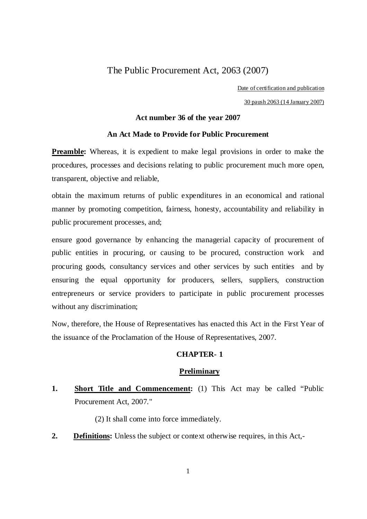# The Public Procurement Act, 2063 (2007)

Date of certification and publication

30 paush 2063 (14 January 2007)

# **Act number 36 of the year 2007**

## **An Act Made to Provide for Public Procurement**

**Preamble:** Whereas, it is expedient to make legal provisions in order to make the procedures, processes and decisions relating to public procurement much more open, transparent, objective and reliable,

obtain the maximum returns of public expenditures in an economical and rational manner by promoting competition, fairness, honesty, accountability and reliability in public procurement processes, and;

ensure good governance by enhancing the managerial capacity of procurement of public entities in procuring, or causing to be procured, construction work and procuring goods, consultancy services and other services by such entities and by ensuring the equal opportunity for producers, sellers, suppliers, construction entrepreneurs or service providers to participate in public procurement processes without any discrimination;

Now, therefore, the House of Representatives has enacted this Act in the First Year of the issuance of the Proclamation of the House of Representatives, 2007.

# **CHAPTER- 1**

#### **Preliminary**

# **1. Short Title and Commencement:** (1) This Act may be called "Public Procurement Act, 2007."

(2) It shall come into force immediately.

**2. Definitions:** Unless the subject or context otherwise requires, in this Act,-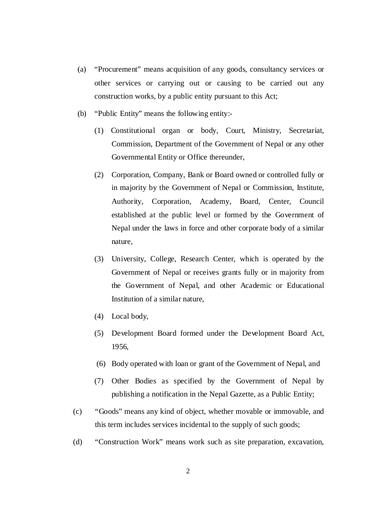- (a) "Procurement" means acquisition of any goods, consultancy services or other services or carrying out or causing to be carried out any construction works, by a public entity pursuant to this Act;
- (b) "Public Entity" means the following entity:-
	- (1) Constitutional organ or body, Court, Ministry, Secretariat, Commission, Department of the Government of Nepal or any other Governmental Entity or Office thereunder,
	- (2) Corporation, Company, Bank or Board owned or controlled fully or in majority by the Government of Nepal or Commission, Institute, Authority, Corporation, Academy, Board, Center, Council established at the public level or formed by the Government of Nepal under the laws in force and other corporate body of a similar nature,
	- (3) University, College, Research Center, which is operated by the Government of Nepal or receives grants fully or in majority from the Government of Nepal, and other Academic or Educational Institution of a similar nature,
	- (4) Local body,
	- (5) Development Board formed under the Development Board Act, 1956,
	- (6) Body operated with loan or grant of the Government of Nepal, and
	- (7) Other Bodies as specified by the Government of Nepal by publishing a notification in the Nepal Gazette, as a Public Entity;
- (c) "Goods" means any kind of object, whether movable or immovable, and this term includes services incidental to the supply of such goods;
- (d) "Construction Work" means work such as site preparation, excavation,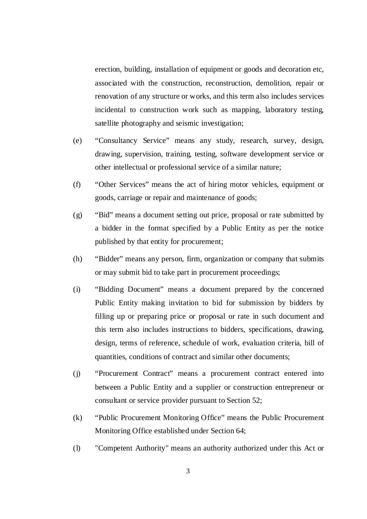erection, building, installation of equipment or goods and decoration etc, associated with the construction, reconstruction, demolition, repair or renovation of any structure or works, and this term also includes services incidental to construction work such as mapping, laboratory testing, satellite photography and seismic investigation;

- (e) "Consultancy Service" means any study, research, survey, design, drawing, supervision, training, testing, software development service or other intellectual or professional service of a similar nature;
- (f) "Other Services" means the act of hiring motor vehicles, equipment or goods, carriage or repair and maintenance of goods;
- (g) "Bid" means a document setting out price, proposal or rate submitted by a bidder in the format specified by a Public Entity as per the notice published by that entity for procurement;
- (h) "Bidder" means any person, firm, organization or company that submits or may submit bid to take part in procurement proceedings;
- (i) "Bidding Document" means a document prepared by the concerned Public Entity making invitation to bid for submission by bidders by filling up or preparing price or proposal or rate in such document and this term also includes instructions to bidders, specifications, drawing, design, terms of reference, schedule of work, evaluation criteria, bill of quantities, conditions of contract and similar other documents;
- (j) "Procurement Contract" means a procurement contract entered into between a Public Entity and a supplier or construction entrepreneur or consultant or service provider pursuant to Section 52;
- (k) "Public Procurement Monitoring Office" means the Public Procurement Monitoring Office established under Section 64;
- (l) "Competent Authority" means an authority authorized under this Act or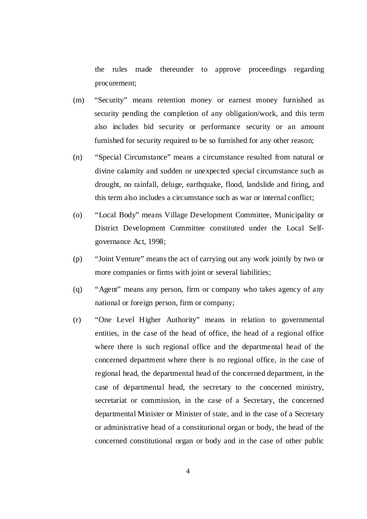the rules made thereunder to approve proceedings regarding procurement;

- (m) "Security" means retention money or earnest money furnished as security pending the completion of any obligation/work, and this term also includes bid security or performance security or an amount furnished for security required to be so furnished for any other reason;
- (n) "Special Circumstance" means a circumstance resulted from natural or divine calamity and sudden or unexpected special circumstance such as drought, no rainfall, deluge, earthquake, flood, landslide and firing, and this term also includes a circumstance such as war or internal conflict;
- (o) "Local Body" means Village Development Committee, Municipality or District Development Committee constituted under the Local Selfgovernance Act, 1998;
- (p) "Joint Venture" means the act of carrying out any work jointly by two or more companies or firms with joint or several liabilities;
- (q) "Agent" means any person, firm or company who takes agency of any national or foreign person, firm or company;
- (r) "One Level Higher Authority" means in relation to governmental entities, in the case of the head of office, the head of a regional office where there is such regional office and the departmental head of the concerned department where there is no regional office, in the case of regional head, the departmental head of the concerned department, in the case of departmental head, the secretary to the concerned ministry, secretariat or commission, in the case of a Secretary, the concerned departmental Minister or Minister of state, and in the case of a Secretary or administrative head of a constitutional organ or body, the head of the concerned constitutional organ or body and in the case of other public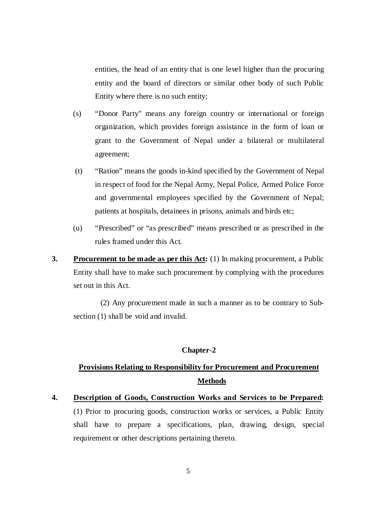entities, the head of an entity that is one level higher than the procuring entity and the board of directors or similar other body of such Public Entity where there is no such entity;

- (s) "Donor Party" means any foreign country or international or foreign organization, which provides foreign assistance in the form of loan or grant to the Government of Nepal under a bilateral or multilateral agreement;
- (t) "Ration" means the goods in-kind specified by the Government of Nepal in respect of food for the Nepal Army, Nepal Police, Armed Police Force and governmental employees specified by the Government of Nepal; patients at hospitals, detainees in prisons, animals and birds etc;
- (u) "Prescribed" or "as prescribed" means prescribed or as prescribed in the rules framed under this Act.
- **3.** Procurement to be made as per this Act: (1) In making procurement, a Public Entity shall have to make such procurement by complying with the procedures set out in this Act.

(2) Any procurement made in such a manner as to be contrary to Subsection (1) shall be void and invalid.

# **Chapter-2**

# **Provisions Relating to Responsibility for Procurement and Procurement Methods**

**4. Description of Goods, Construction Works and Services to be Prepared:** (1) Prior to procuring goods, construction works or services, a Public Entity shall have to prepare a specifications, plan, drawing, design, special requirement or other descriptions pertaining thereto.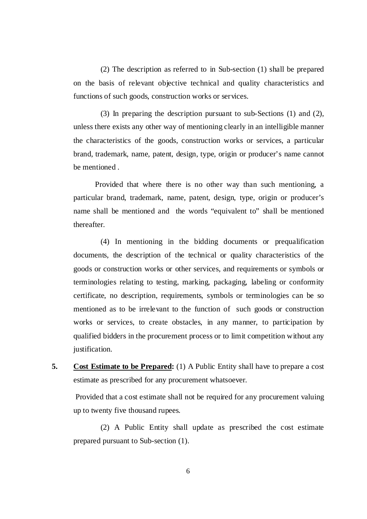(2) The description as referred to in Sub-section (1) shall be prepared on the basis of relevant objective technical and quality characteristics and functions of such goods, construction works or services.

(3) In preparing the description pursuant to sub-Sections (1) and (2), unless there exists any other way of mentioning clearly in an intelligible manner the characteristics of the goods, construction works or services, a particular brand, trademark, name, patent, design, type, origin or producer's name cannot be mentioned

Provided that where there is no other way than such mentioning, a particular brand, trademark, name, patent, design, type, origin or producer's name shall be mentioned and the words "equivalent to" shall be mentioned thereafter.

(4) In mentioning in the bidding documents or prequalification documents, the description of the technical or quality characteristics of the goods or construction works or other services, and requirements or symbols or terminologies relating to testing, marking, packaging, labeling or conformity certificate, no description, requirements, symbols or terminologies can be so mentioned as to be irrelevant to the function of such goods or construction works or services, to create obstacles, in any manner, to participation by qualified bidders in the procurement process or to limit competition without any justification.

**5. Cost Estimate to be Prepared:** (1) A Public Entity shall have to prepare a cost estimate as prescribed for any procurement whatsoever.

 Provided that a cost estimate shall not be required for any procurement valuing up to twenty five thousand rupees.

(2) A Public Entity shall update as prescribed the cost estimate prepared pursuant to Sub-section (1).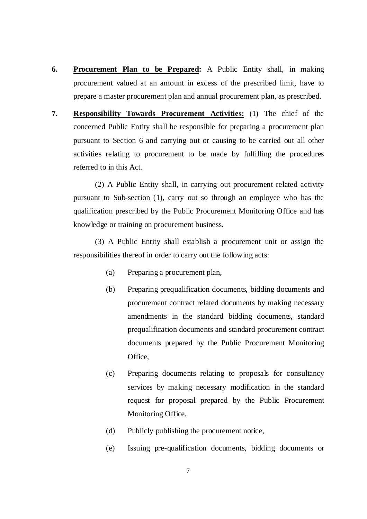- **6. Procurement Plan to be Prepared:** A Public Entity shall, in making procurement valued at an amount in excess of the prescribed limit, have to prepare a master procurement plan and annual procurement plan, as prescribed.
- **7. Responsibility Towards Procurement Activities:** (1) The chief of the concerned Public Entity shall be responsible for preparing a procurement plan pursuant to Section 6 and carrying out or causing to be carried out all other activities relating to procurement to be made by fulfilling the procedures referred to in this Act.

(2) A Public Entity shall, in carrying out procurement related activity pursuant to Sub-section (1), carry out so through an employee who has the qualification prescribed by the Public Procurement Monitoring Office and has knowledge or training on procurement business.

(3) A Public Entity shall establish a procurement unit or assign the responsibilities thereof in order to carry out the following acts:

- (a) Preparing a procurement plan,
- (b) Preparing prequalification documents, bidding documents and procurement contract related documents by making necessary amendments in the standard bidding documents, standard prequalification documents and standard procurement contract documents prepared by the Public Procurement Monitoring Office,
- (c) Preparing documents relating to proposals for consultancy services by making necessary modification in the standard request for proposal prepared by the Public Procurement Monitoring Office,
- (d) Publicly publishing the procurement notice,
- (e) Issuing pre-qualification documents, bidding documents or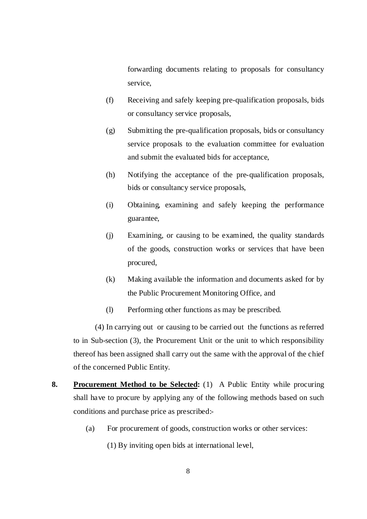forwarding documents relating to proposals for consultancy service,

- (f) Receiving and safely keeping pre-qualification proposals, bids or consultancy service proposals,
- (g) Submitting the pre-qualification proposals, bids or consultancy service proposals to the evaluation committee for evaluation and submit the evaluated bids for acceptance,
- (h) Notifying the acceptance of the pre-qualification proposals, bids or consultancy service proposals,
- (i) Obtaining, examining and safely keeping the performance guarantee,
- (j) Examining, or causing to be examined, the quality standards of the goods, construction works or services that have been procured,
- (k) Making available the information and documents asked for by the Public Procurement Monitoring Office, and
- (l) Performing other functions as may be prescribed.

(4) In carrying out or causing to be carried out the functions as referred to in Sub-section (3), the Procurement Unit or the unit to which responsibility thereof has been assigned shall carry out the same with the approval of the chief of the concerned Public Entity.

- **8. Procurement Method to be Selected:** (1) A Public Entity while procuring shall have to procure by applying any of the following methods based on such conditions and purchase price as prescribed:-
	- (a) For procurement of goods, construction works or other services:
		- (1) By inviting open bids at international level,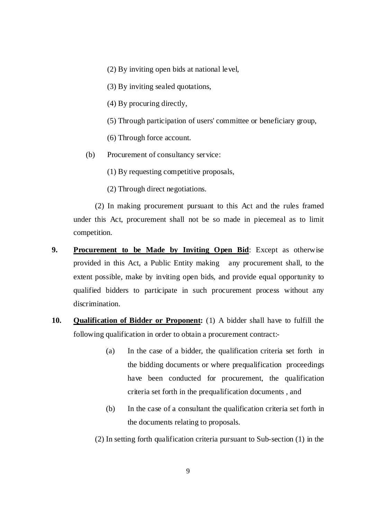(2) By inviting open bids at national level,

(3) By inviting sealed quotations,

(4) By procuring directly,

(5) Through participation of users' committee or beneficiary group,

(6) Through force account.

(b) Procurement of consultancy service:

(1) By requesting competitive proposals,

(2) Through direct negotiations.

(2) In making procurement pursuant to this Act and the rules framed under this Act, procurement shall not be so made in piecemeal as to limit competition.

- **9. Procurement to be Made by Inviting Open Bid**: Except as otherwise provided in this Act, a Public Entity making any procurement shall, to the extent possible, make by inviting open bids, and provide equal opportunity to qualified bidders to participate in such procurement process without any discrimination.
- **10. Qualification of Bidder or Proponent:** (1) A bidder shall have to fulfill the following qualification in order to obtain a procurement contract:-
	- (a) In the case of a bidder, the qualification criteria set forth in the bidding documents or where prequalification proceedings have been conducted for procurement, the qualification criteria set forth in the prequalification documents , and
	- (b) In the case of a consultant the qualification criteria set forth in the documents relating to proposals.

(2) In setting forth qualification criteria pursuant to Sub-section (1) in the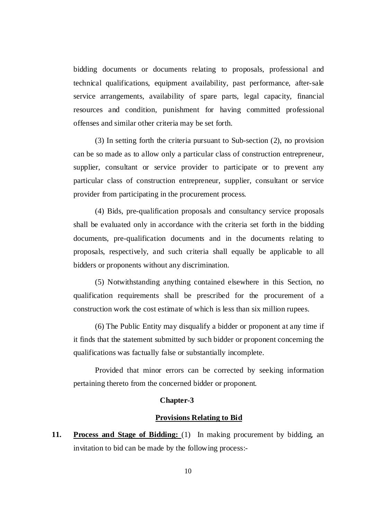bidding documents or documents relating to proposals, professional and technical qualifications, equipment availability, past performance, after-sale service arrangements, availability of spare parts, legal capacity, financial resources and condition, punishment for having committed professional offenses and similar other criteria may be set forth.

(3) In setting forth the criteria pursuant to Sub-section (2), no provision can be so made as to allow only a particular class of construction entrepreneur, supplier, consultant or service provider to participate or to prevent any particular class of construction entrepreneur, supplier, consultant or service provider from participating in the procurement process.

(4) Bids, pre-qualification proposals and consultancy service proposals shall be evaluated only in accordance with the criteria set forth in the bidding documents, pre-qualification documents and in the documents relating to proposals, respectively, and such criteria shall equally be applicable to all bidders or proponents without any discrimination.

(5) Notwithstanding anything contained elsewhere in this Section, no qualification requirements shall be prescribed for the procurement of a construction work the cost estimate of which is less than six million rupees.

(6) The Public Entity may disqualify a bidder or proponent at any time if it finds that the statement submitted by such bidder or proponent concerning the qualifications was factually false or substantially incomplete.

Provided that minor errors can be corrected by seeking information pertaining thereto from the concerned bidder or proponent.

#### **Chapter-3**

# **Provisions Relating to Bid**

**11. Process and Stage of Bidding:** (1) In making procurement by bidding, an invitation to bid can be made by the following process:-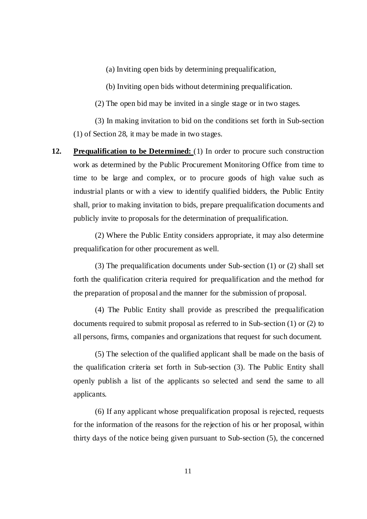(a) Inviting open bids by determining prequalification,

(b) Inviting open bids without determining prequalification.

(2) The open bid may be invited in a single stage or in two stages.

(3) In making invitation to bid on the conditions set forth in Sub-section (1) of Section 28, it may be made in two stages.

**12. Prequalification to be Determined:** (1) In order to procure such construction work as determined by the Public Procurement Monitoring Office from time to time to be large and complex, or to procure goods of high value such as industrial plants or with a view to identify qualified bidders, the Public Entity shall, prior to making invitation to bids, prepare prequalification documents and publicly invite to proposals for the determination of prequalification.

(2) Where the Public Entity considers appropriate, it may also determine prequalification for other procurement as well.

(3) The prequalification documents under Sub-section (1) or (2) shall set forth the qualification criteria required for prequalification and the method for the preparation of proposal and the manner for the submission of proposal.

(4) The Public Entity shall provide as prescribed the prequalification documents required to submit proposal as referred to in Sub-section (1) or (2) to all persons, firms, companies and organizations that request for such document.

(5) The selection of the qualified applicant shall be made on the basis of the qualification criteria set forth in Sub-section (3). The Public Entity shall openly publish a list of the applicants so selected and send the same to all applicants.

(6) If any applicant whose prequalification proposal is rejected, requests for the information of the reasons for the rejection of his or her proposal, within thirty days of the notice being given pursuant to Sub-section (5), the concerned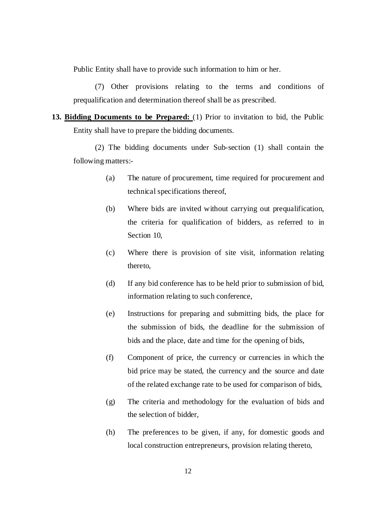Public Entity shall have to provide such information to him or her.

(7) Other provisions relating to the terms and conditions of prequalification and determination thereof shall be as prescribed.

**13. Bidding Documents to be Prepared:** (1) Prior to invitation to bid, the Public Entity shall have to prepare the bidding documents.

(2) The bidding documents under Sub-section (1) shall contain the following matters:-

- (a) The nature of procurement, time required for procurement and technical specifications thereof,
- (b) Where bids are invited without carrying out prequalification, the criteria for qualification of bidders, as referred to in Section 10,
- (c) Where there is provision of site visit, information relating thereto,
- (d) If any bid conference has to be held prior to submission of bid, information relating to such conference,
- (e) Instructions for preparing and submitting bids, the place for the submission of bids, the deadline for the submission of bids and the place, date and time for the opening of bids,
- (f) Component of price, the currency or currencies in which the bid price may be stated, the currency and the source and date of the related exchange rate to be used for comparison of bids,
- (g) The criteria and methodology for the evaluation of bids and the selection of bidder,
- (h) The preferences to be given, if any, for domestic goods and local construction entrepreneurs, provision relating thereto,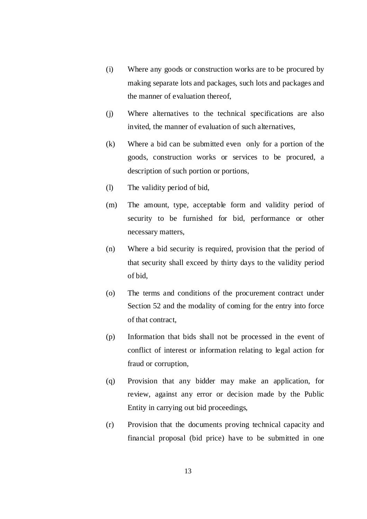- (i) Where any goods or construction works are to be procured by making separate lots and packages, such lots and packages and the manner of evaluation thereof,
- (j) Where alternatives to the technical specifications are also invited, the manner of evaluation of such alternatives,
- (k) Where a bid can be submitted even only for a portion of the goods, construction works or services to be procured, a description of such portion or portions,
- (l) The validity period of bid,
- (m) The amount, type, acceptable form and validity period of security to be furnished for bid, performance or other necessary matters,
- (n) Where a bid security is required, provision that the period of that security shall exceed by thirty days to the validity period of bid,
- (o) The terms and conditions of the procurement contract under Section 52 and the modality of coming for the entry into force of that contract,
- (p) Information that bids shall not be processed in the event of conflict of interest or information relating to legal action for fraud or corruption,
- (q) Provision that any bidder may make an application, for review, against any error or decision made by the Public Entity in carrying out bid proceedings,
- (r) Provision that the documents proving technical capacity and financial proposal (bid price) have to be submitted in one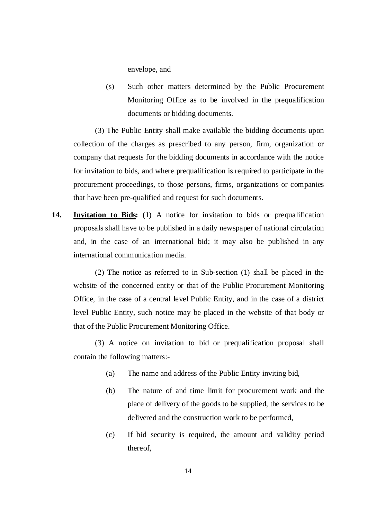envelope, and

(s) Such other matters determined by the Public Procurement Monitoring Office as to be involved in the prequalification documents or bidding documents.

(3) The Public Entity shall make available the bidding documents upon collection of the charges as prescribed to any person, firm, organization or company that requests for the bidding documents in accordance with the notice for invitation to bids, and where prequalification is required to participate in the procurement proceedings, to those persons, firms, organizations or companies that have been pre-qualified and request for such documents.

**14. Invitation to Bids:** (1) A notice for invitation to bids or prequalification proposals shall have to be published in a daily newspaper of national circulation and, in the case of an international bid; it may also be published in any international communication media.

(2) The notice as referred to in Sub-section (1) shall be placed in the website of the concerned entity or that of the Public Procurement Monitoring Office, in the case of a central level Public Entity, and in the case of a district level Public Entity, such notice may be placed in the website of that body or that of the Public Procurement Monitoring Office.

(3) A notice on invitation to bid or prequalification proposal shall contain the following matters:-

- (a) The name and address of the Public Entity inviting bid,
- (b) The nature of and time limit for procurement work and the place of delivery of the goods to be supplied, the services to be delivered and the construction work to be performed,
- (c) If bid security is required, the amount and validity period thereof,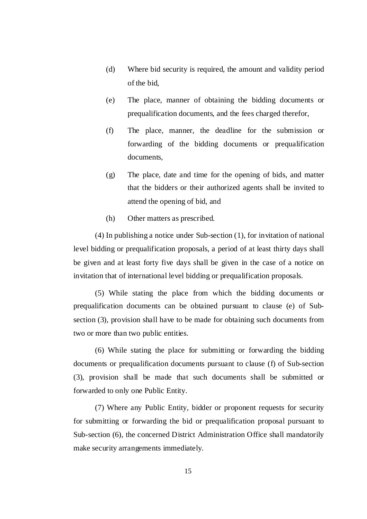- (d) Where bid security is required, the amount and validity period of the bid,
- (e) The place, manner of obtaining the bidding documents or prequalification documents, and the fees charged therefor,
- (f) The place, manner, the deadline for the submission or forwarding of the bidding documents or prequalification documents,
- (g) The place, date and time for the opening of bids, and matter that the bidders or their authorized agents shall be invited to attend the opening of bid, and
- (h) Other matters as prescribed.

(4) In publishing a notice under Sub-section (1), for invitation of national level bidding or prequalification proposals, a period of at least thirty days shall be given and at least forty five days shall be given in the case of a notice on invitation that of international level bidding or prequalification proposals.

(5) While stating the place from which the bidding documents or prequalification documents can be obtained pursuant to clause (e) of Subsection (3), provision shall have to be made for obtaining such documents from two or more than two public entities.

(6) While stating the place for submitting or forwarding the bidding documents or prequalification documents pursuant to clause (f) of Sub-section (3), provision shall be made that such documents shall be submitted or forwarded to only one Public Entity.

(7) Where any Public Entity, bidder or proponent requests for security for submitting or forwarding the bid or prequalification proposal pursuant to Sub-section (6), the concerned District Administration Office shall mandatorily make security arrangements immediately.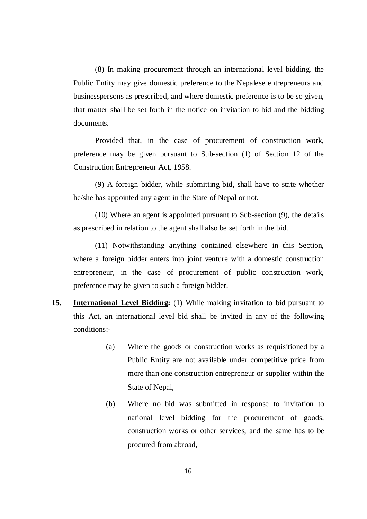(8) In making procurement through an international level bidding, the Public Entity may give domestic preference to the Nepalese entrepreneurs and businesspersons as prescribed, and where domestic preference is to be so given, that matter shall be set forth in the notice on invitation to bid and the bidding documents.

Provided that, in the case of procurement of construction work, preference may be given pursuant to Sub-section (1) of Section 12 of the Construction Entrepreneur Act, 1958.

(9) A foreign bidder, while submitting bid, shall have to state whether he/she has appointed any agent in the State of Nepal or not.

(10) Where an agent is appointed pursuant to Sub-section (9), the details as prescribed in relation to the agent shall also be set forth in the bid.

(11) Notwithstanding anything contained elsewhere in this Section, where a foreign bidder enters into joint venture with a domestic construction entrepreneur, in the case of procurement of public construction work, preference may be given to such a foreign bidder.

- **15. International Level Bidding:** (1) While making invitation to bid pursuant to this Act, an international level bid shall be invited in any of the following conditions:-
	- (a) Where the goods or construction works as requisitioned by a Public Entity are not available under competitive price from more than one construction entrepreneur or supplier within the State of Nepal,
	- (b) Where no bid was submitted in response to invitation to national level bidding for the procurement of goods, construction works or other services, and the same has to be procured from abroad,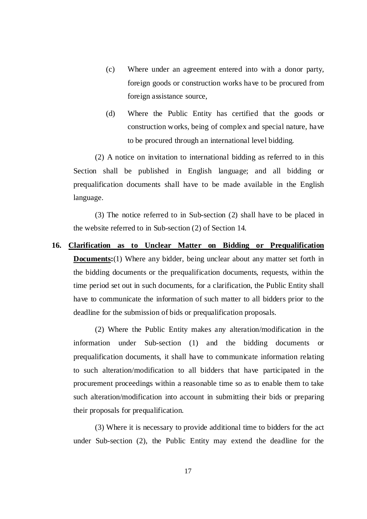- (c) Where under an agreement entered into with a donor party, foreign goods or construction works have to be procured from foreign assistance source,
- (d) Where the Public Entity has certified that the goods or construction works, being of complex and special nature, have to be procured through an international level bidding.

(2) A notice on invitation to international bidding as referred to in this Section shall be published in English language; and all bidding or prequalification documents shall have to be made available in the English language.

(3) The notice referred to in Sub-section (2) shall have to be placed in the website referred to in Sub-section (2) of Section 14.

**16. Clarification as to Unclear Matter on Bidding or Prequalification Documents:**(1) Where any bidder, being unclear about any matter set forth in the bidding documents or the prequalification documents, requests, within the time period set out in such documents, for a clarification, the Public Entity shall have to communicate the information of such matter to all bidders prior to the deadline for the submission of bids or prequalification proposals.

(2) Where the Public Entity makes any alteration/modification in the information under Sub-section (1) and the bidding documents or prequalification documents, it shall have to communicate information relating to such alteration/modification to all bidders that have participated in the procurement proceedings within a reasonable time so as to enable them to take such alteration/modification into account in submitting their bids or preparing their proposals for prequalification.

(3) Where it is necessary to provide additional time to bidders for the act under Sub-section (2), the Public Entity may extend the deadline for the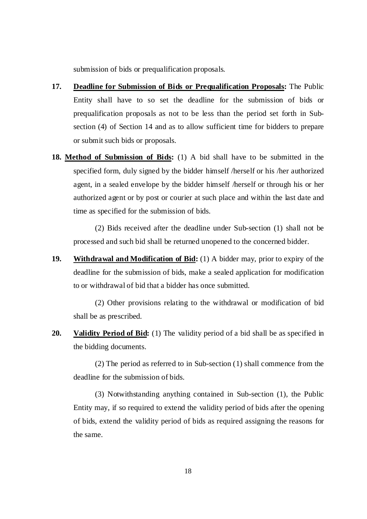submission of bids or prequalification proposals.

- **17. Deadline for Submission of Bids or Prequalification Proposals:** The Public Entity shall have to so set the deadline for the submission of bids or prequalification proposals as not to be less than the period set forth in Subsection (4) of Section 14 and as to allow sufficient time for bidders to prepare or submit such bids or proposals.
- **18. Method of Submission of Bids:** (1) A bid shall have to be submitted in the specified form, duly signed by the bidder himself /herself or his /her authorized agent, in a sealed envelope by the bidder himself /herself or through his or her authorized agent or by post or courier at such place and within the last date and time as specified for the submission of bids.

(2) Bids received after the deadline under Sub-section (1) shall not be processed and such bid shall be returned unopened to the concerned bidder.

**19. Withdrawal and Modification of Bid:** (1) A bidder may, prior to expiry of the deadline for the submission of bids, make a sealed application for modification to or withdrawal of bid that a bidder has once submitted.

(2) Other provisions relating to the withdrawal or modification of bid shall be as prescribed.

**20. Validity Period of Bid:** (1) The validity period of a bid shall be as specified in the bidding documents.

(2) The period as referred to in Sub-section (1) shall commence from the deadline for the submission of bids.

(3) Notwithstanding anything contained in Sub-section (1), the Public Entity may, if so required to extend the validity period of bids after the opening of bids, extend the validity period of bids as required assigning the reasons for the same.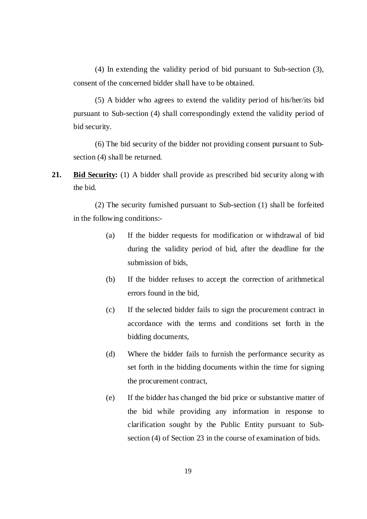(4) In extending the validity period of bid pursuant to Sub-section (3), consent of the concerned bidder shall have to be obtained.

(5) A bidder who agrees to extend the validity period of his/her/its bid pursuant to Sub-section (4) shall correspondingly extend the validity period of bid security.

(6) The bid security of the bidder not providing consent pursuant to Subsection (4) shall be returned.

**21. Bid Security:** (1) A bidder shall provide as prescribed bid security along with the bid.

(2) The security furnished pursuant to Sub-section (1) shall be forfeited in the following conditions:-

- (a) If the bidder requests for modification or withdrawal of bid during the validity period of bid, after the deadline for the submission of bids,
- (b) If the bidder refuses to accept the correction of arithmetical errors found in the bid,
- (c) If the selected bidder fails to sign the procurement contract in accordance with the terms and conditions set forth in the bidding documents,
- (d) Where the bidder fails to furnish the performance security as set forth in the bidding documents within the time for signing the procurement contract,
- (e) If the bidder has changed the bid price or substantive matter of the bid while providing any information in response to clarification sought by the Public Entity pursuant to Subsection (4) of Section 23 in the course of examination of bids.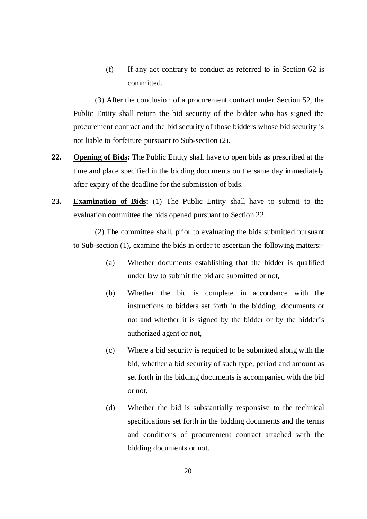(f) If any act contrary to conduct as referred to in Section 62 is committed.

(3) After the conclusion of a procurement contract under Section 52, the Public Entity shall return the bid security of the bidder who has signed the procurement contract and the bid security of those bidders whose bid security is not liable to forfeiture pursuant to Sub-section (2).

- **22. Opening of Bids:** The Public Entity shall have to open bids as prescribed at the time and place specified in the bidding documents on the same day immediately after expiry of the deadline for the submission of bids.
- **23. Examination of Bids:** (1) The Public Entity shall have to submit to the evaluation committee the bids opened pursuant to Section 22.

(2) The committee shall, prior to evaluating the bids submitted pursuant to Sub-section (1), examine the bids in order to ascertain the following matters:-

- (a) Whether documents establishing that the bidder is qualified under law to submit the bid are submitted or not,
- (b) Whether the bid is complete in accordance with the instructions to bidders set forth in the bidding documents or not and whether it is signed by the bidder or by the bidder's authorized agent or not,
- (c) Where a bid security is required to be submitted along with the bid, whether a bid security of such type, period and amount as set forth in the bidding documents is accompanied with the bid or not,
- (d) Whether the bid is substantially responsive to the technical specifications set forth in the bidding documents and the terms and conditions of procurement contract attached with the bidding documents or not.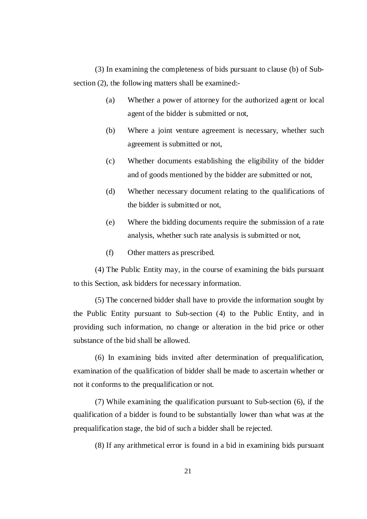(3) In examining the completeness of bids pursuant to clause (b) of Subsection (2), the following matters shall be examined:-

- (a) Whether a power of attorney for the authorized agent or local agent of the bidder is submitted or not,
- (b) Where a joint venture agreement is necessary, whether such agreement is submitted or not,
- (c) Whether documents establishing the eligibility of the bidder and of goods mentioned by the bidder are submitted or not,
- (d) Whether necessary document relating to the qualifications of the bidder is submitted or not,
- (e) Where the bidding documents require the submission of a rate analysis, whether such rate analysis is submitted or not,
- (f) Other matters as prescribed.

(4) The Public Entity may, in the course of examining the bids pursuant to this Section, ask bidders for necessary information.

(5) The concerned bidder shall have to provide the information sought by the Public Entity pursuant to Sub-section (4) to the Public Entity, and in providing such information, no change or alteration in the bid price or other substance of the bid shall be allowed.

(6) In examining bids invited after determination of prequalification, examination of the qualification of bidder shall be made to ascertain whether or not it conforms to the prequalification or not.

(7) While examining the qualification pursuant to Sub-section (6), if the qualification of a bidder is found to be substantially lower than what was at the prequalification stage, the bid of such a bidder shall be rejected.

(8) If any arithmetical error is found in a bid in examining bids pursuant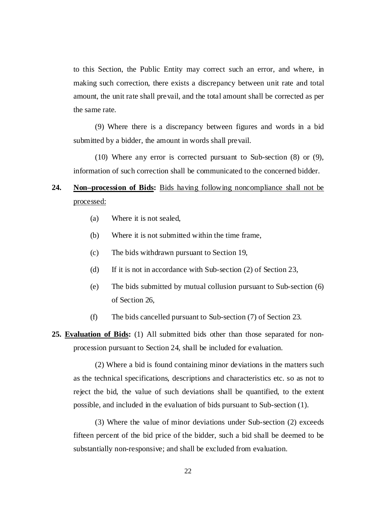to this Section, the Public Entity may correct such an error, and where, in making such correction, there exists a discrepancy between unit rate and total amount, the unit rate shall prevail, and the total amount shall be corrected as per the same rate.

(9) Where there is a discrepancy between figures and words in a bid submitted by a bidder, the amount in words shall prevail.

(10) Where any error is corrected pursuant to Sub-section (8) or (9), information of such correction shall be communicated to the concerned bidder.

# **24. Non–procession of Bids:** Bids having following noncompliance shall not be processed:

- (a) Where it is not sealed,
- (b) Where it is not submitted within the time frame,
- (c) The bids withdrawn pursuant to Section 19,
- (d) If it is not in accordance with Sub-section (2) of Section 23,
- (e) The bids submitted by mutual collusion pursuant to Sub-section (6) of Section 26,
- (f) The bids cancelled pursuant to Sub-section (7) of Section 23.
- **25. Evaluation of Bids:** (1) All submitted bids other than those separated for nonprocession pursuant to Section 24, shall be included for evaluation.

(2) Where a bid is found containing minor deviations in the matters such as the technical specifications, descriptions and characteristics etc. so as not to reject the bid, the value of such deviations shall be quantified, to the extent possible, and included in the evaluation of bids pursuant to Sub-section (1).

(3) Where the value of minor deviations under Sub-section (2) exceeds fifteen percent of the bid price of the bidder, such a bid shall be deemed to be substantially non-responsive; and shall be excluded from evaluation.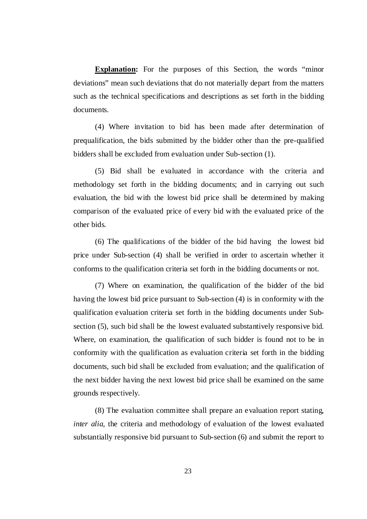**Explanation:** For the purposes of this Section, the words "minor deviations" mean such deviations that do not materially depart from the matters such as the technical specifications and descriptions as set forth in the bidding documents.

(4) Where invitation to bid has been made after determination of prequalification, the bids submitted by the bidder other than the pre-qualified bidders shall be excluded from evaluation under Sub-section (1).

(5) Bid shall be evaluated in accordance with the criteria and methodology set forth in the bidding documents; and in carrying out such evaluation, the bid with the lowest bid price shall be determined by making comparison of the evaluated price of every bid with the evaluated price of the other bids.

(6) The qualifications of the bidder of the bid having the lowest bid price under Sub-section (4) shall be verified in order to ascertain whether it conforms to the qualification criteria set forth in the bidding documents or not.

(7) Where on examination, the qualification of the bidder of the bid having the lowest bid price pursuant to Sub-section (4) is in conformity with the qualification evaluation criteria set forth in the bidding documents under Subsection (5), such bid shall be the lowest evaluated substantively responsive bid. Where, on examination, the qualification of such bidder is found not to be in conformity with the qualification as evaluation criteria set forth in the bidding documents, such bid shall be excluded from evaluation; and the qualification of the next bidder having the next lowest bid price shall be examined on the same grounds respectively.

(8) The evaluation committee shall prepare an evaluation report stating, *inter alia*, the criteria and methodology of evaluation of the lowest evaluated substantially responsive bid pursuant to Sub-section (6) and submit the report to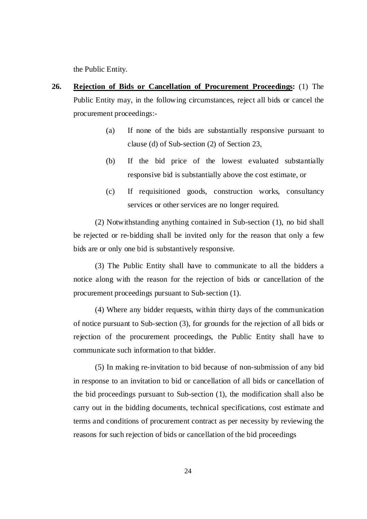the Public Entity.

- **26. Rejection of Bids or Cancellation of Procurement Proceedings:** (1) The Public Entity may, in the following circumstances, reject all bids or cancel the procurement proceedings:-
	- (a) If none of the bids are substantially responsive pursuant to clause (d) of Sub-section (2) of Section 23,
	- (b) If the bid price of the lowest evaluated substantially responsive bid is substantially above the cost estimate, or
	- (c) If requisitioned goods, construction works, consultancy services or other services are no longer required.

(2) Notwithstanding anything contained in Sub-section (1), no bid shall be rejected or re-bidding shall be invited only for the reason that only a few bids are or only one bid is substantively responsive.

(3) The Public Entity shall have to communicate to all the bidders a notice along with the reason for the rejection of bids or cancellation of the procurement proceedings pursuant to Sub-section (1).

(4) Where any bidder requests, within thirty days of the communication of notice pursuant to Sub-section (3), for grounds for the rejection of all bids or rejection of the procurement proceedings, the Public Entity shall have to communicate such information to that bidder.

(5) In making re-invitation to bid because of non-submission of any bid in response to an invitation to bid or cancellation of all bids or cancellation of the bid proceedings pursuant to Sub-section (1), the modification shall also be carry out in the bidding documents, technical specifications, cost estimate and terms and conditions of procurement contract as per necessity by reviewing the reasons for such rejection of bids or cancellation of the bid proceedings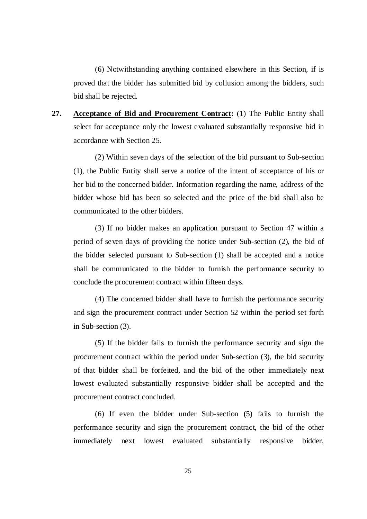(6) Notwithstanding anything contained elsewhere in this Section, if is proved that the bidder has submitted bid by collusion among the bidders, such bid shall be rejected.

**27. Acceptance of Bid and Procurement Contract:** (1) The Public Entity shall select for acceptance only the lowest evaluated substantially responsive bid in accordance with Section 25.

(2) Within seven days of the selection of the bid pursuant to Sub-section (1), the Public Entity shall serve a notice of the intent of acceptance of his or her bid to the concerned bidder. Information regarding the name, address of the bidder whose bid has been so selected and the price of the bid shall also be communicated to the other bidders.

(3) If no bidder makes an application pursuant to Section 47 within a period of seven days of providing the notice under Sub-section (2), the bid of the bidder selected pursuant to Sub-section (1) shall be accepted and a notice shall be communicated to the bidder to furnish the performance security to conclude the procurement contract within fifteen days.

(4) The concerned bidder shall have to furnish the performance security and sign the procurement contract under Section 52 within the period set forth in Sub-section (3).

(5) If the bidder fails to furnish the performance security and sign the procurement contract within the period under Sub-section (3), the bid security of that bidder shall be forfeited, and the bid of the other immediately next lowest evaluated substantially responsive bidder shall be accepted and the procurement contract concluded.

(6) If even the bidder under Sub-section (5) fails to furnish the performance security and sign the procurement contract, the bid of the other immediately next lowest evaluated substantially responsive bidder,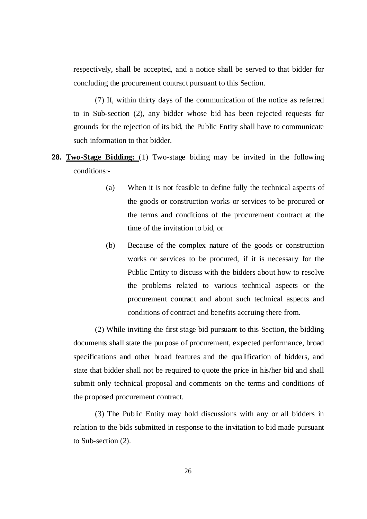respectively, shall be accepted, and a notice shall be served to that bidder for concluding the procurement contract pursuant to this Section.

(7) If, within thirty days of the communication of the notice as referred to in Sub-section (2), any bidder whose bid has been rejected requests for grounds for the rejection of its bid, the Public Entity shall have to communicate such information to that bidder.

- **28. Two-Stage Bidding:** (1) Two-stage biding may be invited in the following conditions:-
	- (a) When it is not feasible to define fully the technical aspects of the goods or construction works or services to be procured or the terms and conditions of the procurement contract at the time of the invitation to bid, or
	- (b) Because of the complex nature of the goods or construction works or services to be procured, if it is necessary for the Public Entity to discuss with the bidders about how to resolve the problems related to various technical aspects or the procurement contract and about such technical aspects and conditions of contract and benefits accruing there from.

(2) While inviting the first stage bid pursuant to this Section, the bidding documents shall state the purpose of procurement, expected performance, broad specifications and other broad features and the qualification of bidders, and state that bidder shall not be required to quote the price in his/her bid and shall submit only technical proposal and comments on the terms and conditions of the proposed procurement contract.

(3) The Public Entity may hold discussions with any or all bidders in relation to the bids submitted in response to the invitation to bid made pursuant to Sub-section (2).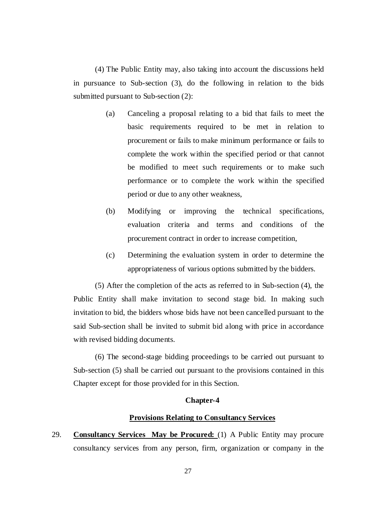(4) The Public Entity may, also taking into account the discussions held in pursuance to Sub-section (3), do the following in relation to the bids submitted pursuant to Sub-section (2):

- (a) Canceling a proposal relating to a bid that fails to meet the basic requirements required to be met in relation to procurement or fails to make minimum performance or fails to complete the work within the specified period or that cannot be modified to meet such requirements or to make such performance or to complete the work within the specified period or due to any other weakness,
- (b) Modifying or improving the technical specifications, evaluation criteria and terms and conditions of the procurement contract in order to increase competition,
- (c) Determining the evaluation system in order to determine the appropriateness of various options submitted by the bidders.

(5) After the completion of the acts as referred to in Sub-section (4), the Public Entity shall make invitation to second stage bid. In making such invitation to bid, the bidders whose bids have not been cancelled pursuant to the said Sub-section shall be invited to submit bid along with price in accordance with revised bidding documents.

(6) The second-stage bidding proceedings to be carried out pursuant to Sub-section (5) shall be carried out pursuant to the provisions contained in this Chapter except for those provided for in this Section.

### **Chapter-4**

# **Provisions Relating to Consultancy Services**

29. **Consultancy Services May be Procured:** (1) A Public Entity may procure consultancy services from any person, firm, organization or company in the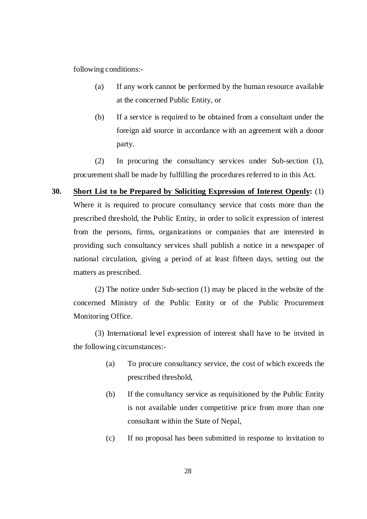following conditions:-

- (a) If any work cannot be performed by the human resource available at the concerned Public Entity, or
- (b) If a service is required to be obtained from a consultant under the foreign aid source in accordance with an agreement with a donor party.

(2) In procuring the consultancy services under Sub-section (1), procurement shall be made by fulfilling the procedures referred to in this Act.

**30. Short List to be Prepared by Soliciting Expression of Interest Openly:** (1) Where it is required to procure consultancy service that costs more than the prescribed threshold, the Public Entity, in order to solicit expression of interest from the persons, firms, organizations or companies that are interested in providing such consultancy services shall publish a notice in a newspaper of national circulation, giving a period of at least fifteen days, setting out the matters as prescribed.

(2) The notice under Sub-section (1) may be placed in the website of the concerned Ministry of the Public Entity or of the Public Procurement Monitoring Office.

(3) International level expression of interest shall have to be invited in the following circumstances:-

- (a) To procure consultancy service, the cost of which exceeds the prescribed threshold,
- (b) If the consultancy service as requisitioned by the Public Entity is not available under competitive price from more than one consultant within the State of Nepal,
- (c) If no proposal has been submitted in response to invitation to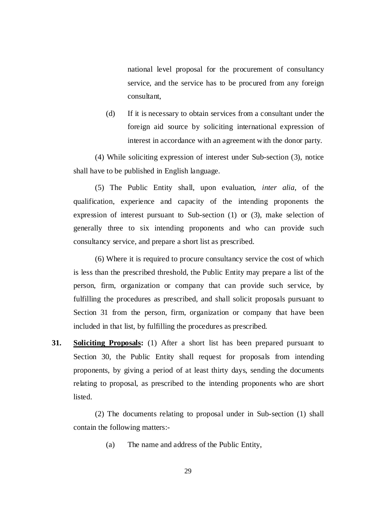national level proposal for the procurement of consultancy service, and the service has to be procured from any foreign consultant,

(d) If it is necessary to obtain services from a consultant under the foreign aid source by soliciting international expression of interest in accordance with an agreement with the donor party.

(4) While soliciting expression of interest under Sub-section (3), notice shall have to be published in English language.

(5) The Public Entity shall, upon evaluation, *inter alia*, of the qualification, experience and capacity of the intending proponents the expression of interest pursuant to Sub-section (1) or (3), make selection of generally three to six intending proponents and who can provide such consultancy service, and prepare a short list as prescribed.

(6) Where it is required to procure consultancy service the cost of which is less than the prescribed threshold, the Public Entity may prepare a list of the person, firm, organization or company that can provide such service, by fulfilling the procedures as prescribed, and shall solicit proposals pursuant to Section 31 from the person, firm, organization or company that have been included in that list, by fulfilling the procedures as prescribed.

**31. Soliciting Proposals:** (1) After a short list has been prepared pursuant to Section 30, the Public Entity shall request for proposals from intending proponents, by giving a period of at least thirty days, sending the documents relating to proposal, as prescribed to the intending proponents who are short **listed** 

(2) The documents relating to proposal under in Sub-section (1) shall contain the following matters:-

(a) The name and address of the Public Entity,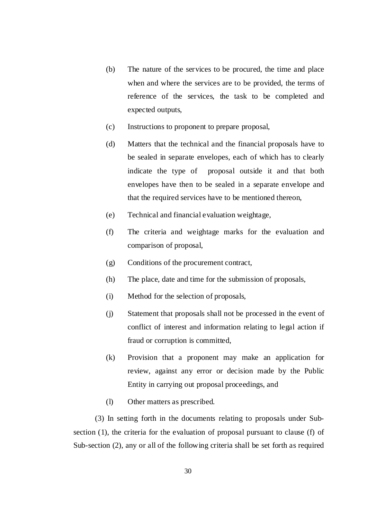- (b) The nature of the services to be procured, the time and place when and where the services are to be provided, the terms of reference of the services, the task to be completed and expected outputs,
- (c) Instructions to proponent to prepare proposal,
- (d) Matters that the technical and the financial proposals have to be sealed in separate envelopes, each of which has to clearly indicate the type of proposal outside it and that both envelopes have then to be sealed in a separate envelope and that the required services have to be mentioned thereon,
- (e) Technical and financial evaluation weightage,
- (f) The criteria and weightage marks for the evaluation and comparison of proposal,
- (g) Conditions of the procurement contract,
- (h) The place, date and time for the submission of proposals,
- (i) Method for the selection of proposals,
- (j) Statement that proposals shall not be processed in the event of conflict of interest and information relating to legal action if fraud or corruption is committed,
- (k) Provision that a proponent may make an application for review, against any error or decision made by the Public Entity in carrying out proposal proceedings, and
- (l) Other matters as prescribed.

(3) In setting forth in the documents relating to proposals under Subsection (1), the criteria for the evaluation of proposal pursuant to clause (f) of Sub-section (2), any or all of the following criteria shall be set forth as required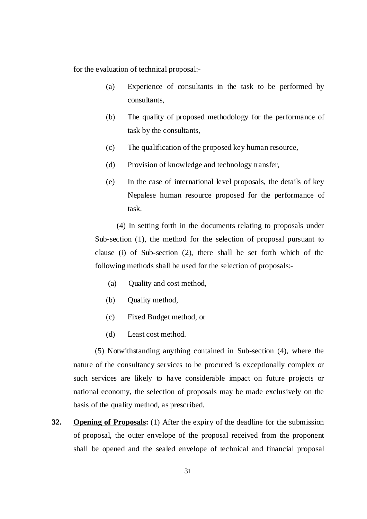for the evaluation of technical proposal:-

- (a) Experience of consultants in the task to be performed by consultants,
- (b) The quality of proposed methodology for the performance of task by the consultants,
- (c) The qualification of the proposed key human resource,
- (d) Provision of knowledge and technology transfer,
- (e) In the case of international level proposals, the details of key Nepalese human resource proposed for the performance of task.

(4) In setting forth in the documents relating to proposals under Sub-section (1), the method for the selection of proposal pursuant to clause (i) of Sub-section (2), there shall be set forth which of the following methods shall be used for the selection of proposals:-

- (a) Quality and cost method,
- (b) Quality method,
- (c) Fixed Budget method, or
- (d) Least cost method.

(5) Notwithstanding anything contained in Sub-section (4), where the nature of the consultancy services to be procured is exceptionally complex or such services are likely to have considerable impact on future projects or national economy, the selection of proposals may be made exclusively on the basis of the quality method, as prescribed.

**32. Opening of Proposals:** (1) After the expiry of the deadline for the submission of proposal, the outer envelope of the proposal received from the proponent shall be opened and the sealed envelope of technical and financial proposal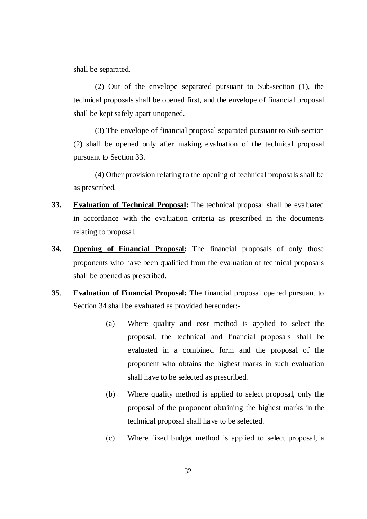shall be separated.

(2) Out of the envelope separated pursuant to Sub-section (1), the technical proposals shall be opened first, and the envelope of financial proposal shall be kept safely apart unopened.

(3) The envelope of financial proposal separated pursuant to Sub-section (2) shall be opened only after making evaluation of the technical proposal pursuant to Section 33.

(4) Other provision relating to the opening of technical proposals shall be as prescribed.

- **33. Evaluation of Technical Proposal:** The technical proposal shall be evaluated in accordance with the evaluation criteria as prescribed in the documents relating to proposal.
- **34. Opening of Financial Proposal:** The financial proposals of only those proponents who have been qualified from the evaluation of technical proposals shall be opened as prescribed.
- **35**. **Evaluation of Financial Proposal:** The financial proposal opened pursuant to Section 34 shall be evaluated as provided hereunder:-
	- (a) Where quality and cost method is applied to select the proposal, the technical and financial proposals shall be evaluated in a combined form and the proposal of the proponent who obtains the highest marks in such evaluation shall have to be selected as prescribed.
	- (b) Where quality method is applied to select proposal, only the proposal of the proponent obtaining the highest marks in the technical proposal shall have to be selected.
	- (c) Where fixed budget method is applied to select proposal, a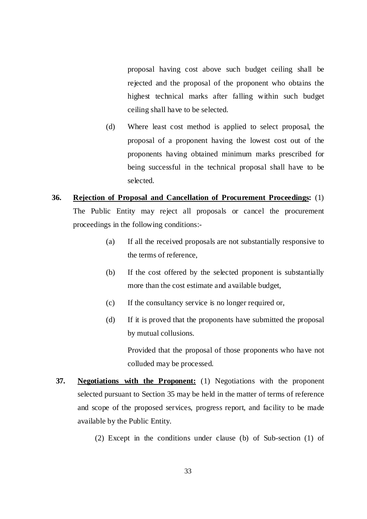proposal having cost above such budget ceiling shall be rejected and the proposal of the proponent who obtains the highest technical marks after falling within such budget ceiling shall have to be selected.

(d) Where least cost method is applied to select proposal, the proposal of a proponent having the lowest cost out of the proponents having obtained minimum marks prescribed for being successful in the technical proposal shall have to be selected.

# **36. Rejection of Proposal and Cancellation of Procurement Proceedings:** (1) The Public Entity may reject all proposals or cancel the procurement proceedings in the following conditions:-

- (a) If all the received proposals are not substantially responsive to the terms of reference,
- (b) If the cost offered by the selected proponent is substantially more than the cost estimate and available budget,
- (c) If the consultancy service is no longer required or,
- (d) If it is proved that the proponents have submitted the proposal by mutual collusions.

 Provided that the proposal of those proponents who have not colluded may be processed.

- **37. Negotiations with the Proponent:** (1) Negotiations with the proponent selected pursuant to Section 35 may be held in the matter of terms of reference and scope of the proposed services, progress report, and facility to be made available by the Public Entity.
	- (2) Except in the conditions under clause (b) of Sub-section (1) of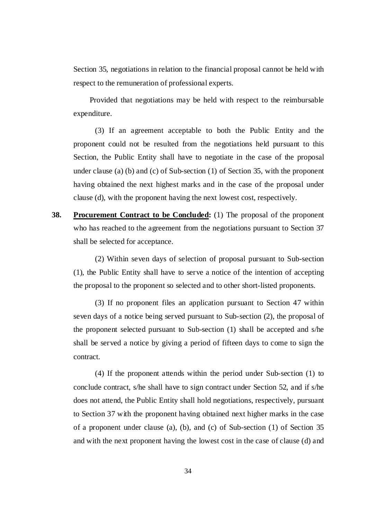Section 35, negotiations in relation to the financial proposal cannot be held with respect to the remuneration of professional experts.

Provided that negotiations may be held with respect to the reimbursable expenditure.

(3) If an agreement acceptable to both the Public Entity and the proponent could not be resulted from the negotiations held pursuant to this Section, the Public Entity shall have to negotiate in the case of the proposal under clause (a) (b) and (c) of Sub-section (1) of Section 35, with the proponent having obtained the next highest marks and in the case of the proposal under clause (d), with the proponent having the next lowest cost, respectively.

**38. Procurement Contract to be Concluded:** (1) The proposal of the proponent who has reached to the agreement from the negotiations pursuant to Section 37 shall be selected for acceptance.

(2) Within seven days of selection of proposal pursuant to Sub-section (1), the Public Entity shall have to serve a notice of the intention of accepting the proposal to the proponent so selected and to other short-listed proponents.

(3) If no proponent files an application pursuant to Section 47 within seven days of a notice being served pursuant to Sub-section (2), the proposal of the proponent selected pursuant to Sub-section (1) shall be accepted and s/he shall be served a notice by giving a period of fifteen days to come to sign the contract.

(4) If the proponent attends within the period under Sub-section (1) to conclude contract, s/he shall have to sign contract under Section 52, and if s/he does not attend, the Public Entity shall hold negotiations, respectively, pursuant to Section 37 with the proponent having obtained next higher marks in the case of a proponent under clause (a), (b), and (c) of Sub-section (1) of Section 35 and with the next proponent having the lowest cost in the case of clause (d) and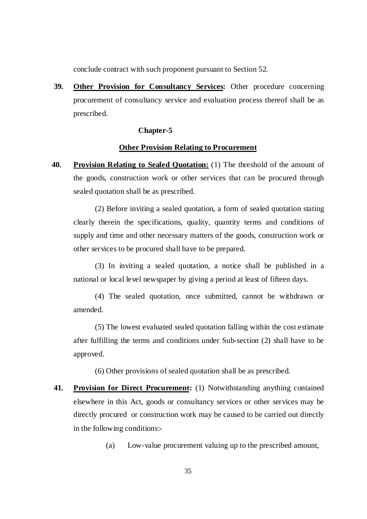conclude contract with such proponent pursuant to Section 52.

**39. Other Provision for Consultancy Services:** Other procedure concerning procurement of consultancy service and evaluation process thereof shall be as prescribed.

#### **Chapter-5**

### **Other Provision Relating to Procurement**

**40. Provision Relating to Sealed Quotation:** (1) The threshold of the amount of the goods, construction work or other services that can be procured through sealed quotation shall be as prescribed.

(2) Before inviting a sealed quotation, a form of sealed quotation stating clearly therein the specifications, quality, quantity terms and conditions of supply and time and other necessary matters of the goods, construction work or other services to be procured shall have to be prepared.

(3) In inviting a sealed quotation, a notice shall be published in a national or local level newspaper by giving a period at least of fifteen days.

(4) The sealed quotation, once submitted, cannot be withdrawn or amended.

(5) The lowest evaluated sealed quotation falling within the cost estimate after fulfilling the terms and conditions under Sub-section (2) shall have to be approved.

(6) Other provisions of sealed quotation shall be as prescribed.

**41. Provision for Direct Procurement:** (1) Notwithstanding anything contained elsewhere in this Act, goods or consultancy services or other services may be directly procured or construction work may be caused to be carried out directly in the following conditions:-

(a) Low-value procurement valuing up to the prescribed amount,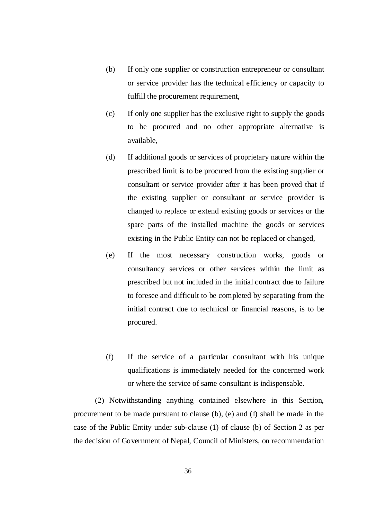- (b) If only one supplier or construction entrepreneur or consultant or service provider has the technical efficiency or capacity to fulfill the procurement requirement,
- (c) If only one supplier has the exclusive right to supply the goods to be procured and no other appropriate alternative is available,
- (d) If additional goods or services of proprietary nature within the prescribed limit is to be procured from the existing supplier or consultant or service provider after it has been proved that if the existing supplier or consultant or service provider is changed to replace or extend existing goods or services or the spare parts of the installed machine the goods or services existing in the Public Entity can not be replaced or changed,
- (e) If the most necessary construction works, goods or consultancy services or other services within the limit as prescribed but not included in the initial contract due to failure to foresee and difficult to be completed by separating from the initial contract due to technical or financial reasons, is to be procured.
- (f) If the service of a particular consultant with his unique qualifications is immediately needed for the concerned work or where the service of same consultant is indispensable.

(2) Notwithstanding anything contained elsewhere in this Section, procurement to be made pursuant to clause (b), (e) and (f) shall be made in the case of the Public Entity under sub-clause (1) of clause (b) of Section 2 as per the decision of Government of Nepal, Council of Ministers, on recommendation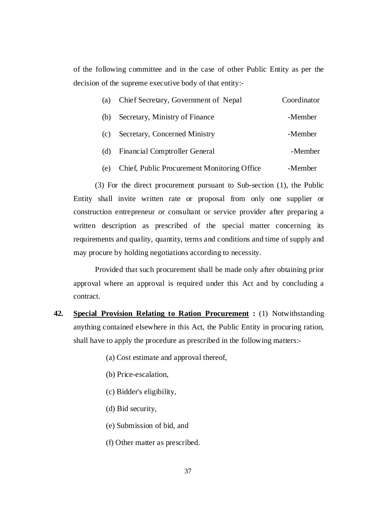of the following committee and in the case of other Public Entity as per the decision of the supreme executive body of that entity:-

| (a) | Chief Secretary, Government of Nepal        | Coordinator |
|-----|---------------------------------------------|-------------|
| (b) | Secretary, Ministry of Finance              | -Member     |
| (c) | Secretary, Concerned Ministry               | -Member     |
| (d) | Financial Comptroller General               | -Member     |
| (e) | Chief, Public Procurement Monitoring Office | -Member     |

(3) For the direct procurement pursuant to Sub-section (1), the Public Entity shall invite written rate or proposal from only one supplier or construction entrepreneur or consultant or service provider after preparing a written description as prescribed of the special matter concerning its requirements and quality, quantity, terms and conditions and time of supply and may procure by holding negotiations according to necessity.

Provided that such procurement shall be made only after obtaining prior approval where an approval is required under this Act and by concluding a contract.

- **42. Special Provision Relating to Ration Procurement :** (1) Notwithstanding anything contained elsewhere in this Act, the Public Entity in procuring ration, shall have to apply the procedure as prescribed in the following matters:-
	- (a) Cost estimate and approval thereof,
	- (b) Price-escalation,
	- (c) Bidder's eligibility,
	- (d) Bid security,
	- (e) Submission of bid, and
	- (f) Other matter as prescribed.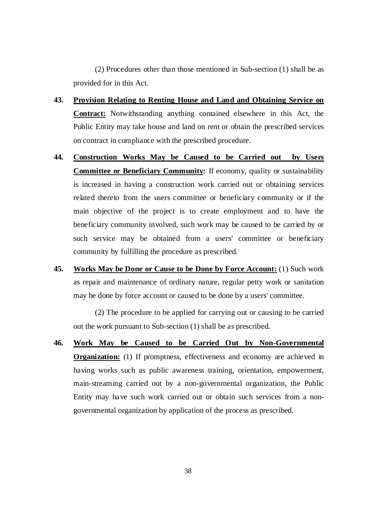(2) Procedures other than those mentioned in Sub-section (1) shall be as provided for in this Act.

- **43. Provision Relating to Renting House and Land and Obtaining Service on Contract:** Notwithstanding anything contained elsewhere in this Act, the Public Entity may take house and land on rent or obtain the prescribed services on contract in compliance with the prescribed procedure.
- **44. Construction Works May be Caused to be Carried out by Users Committee or Beneficiary Community:** If economy, quality or sustainability is increased in having a construction work carried out or obtaining services related thereto from the users committee or beneficiary community or if the main objective of the project is to create employment and to have the beneficiary community involved, such work may be caused to be carried by or such service may be obtained from a users' committee or beneficiary community by fulfilling the procedure as prescribed.
- **45. Works May be Done or Cause to be Done by Force Account:** (1) Such work as repair and maintenance of ordinary nature, regular petty work or sanitation may be done by force account or caused to be done by a users' committee.

(2) The procedure to be applied for carrying out or causing to be carried out the work pursuant to Sub-section (1) shall be as prescribed.

**46. Work May be Caused to be Carried Out by Non-Governmental Organization:** (1) If promptness, effectiveness and economy are achieved in having works such as public awareness training, orientation, empowerment, main-streaming carried out by a non-governmental organization, the Public Entity may have such work carried out or obtain such services from a nongovernmental organization by application of the process as prescribed.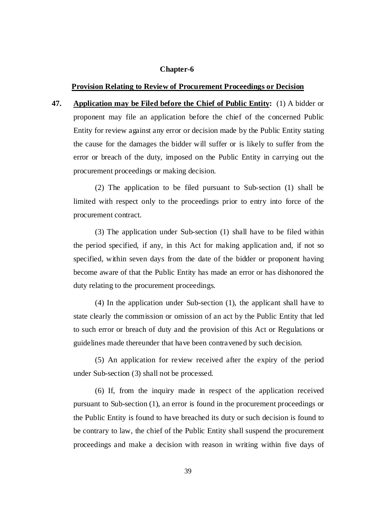#### **Chapter-6**

#### **Provision Relating to Review of Procurement Proceedings or Decision**

**47. Application may be Filed before the Chief of Public Entity:** (1) A bidder or proponent may file an application before the chief of the concerned Public Entity for review against any error or decision made by the Public Entity stating the cause for the damages the bidder will suffer or is likely to suffer from the error or breach of the duty, imposed on the Public Entity in carrying out the procurement proceedings or making decision.

(2) The application to be filed pursuant to Sub-section (1) shall be limited with respect only to the proceedings prior to entry into force of the procurement contract.

(3) The application under Sub-section (1) shall have to be filed within the period specified, if any, in this Act for making application and, if not so specified, within seven days from the date of the bidder or proponent having become aware of that the Public Entity has made an error or has dishonored the duty relating to the procurement proceedings.

(4) In the application under Sub-section (1), the applicant shall have to state clearly the commission or omission of an act by the Public Entity that led to such error or breach of duty and the provision of this Act or Regulations or guidelines made thereunder that have been contravened by such decision.

(5) An application for review received after the expiry of the period under Sub-section (3) shall not be processed.

(6) If, from the inquiry made in respect of the application received pursuant to Sub-section (1), an error is found in the procurement proceedings or the Public Entity is found to have breached its duty or such decision is found to be contrary to law, the chief of the Public Entity shall suspend the procurement proceedings and make a decision with reason in writing within five days of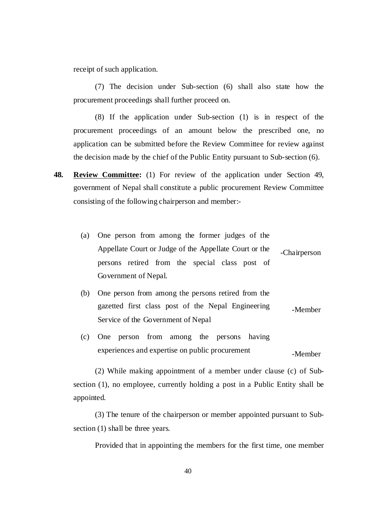receipt of such application.

(7) The decision under Sub-section (6) shall also state how the procurement proceedings shall further proceed on.

(8) If the application under Sub-section (1) is in respect of the procurement proceedings of an amount below the prescribed one, no application can be submitted before the Review Committee for review against the decision made by the chief of the Public Entity pursuant to Sub-section (6).

- **48. Review Committee:** (1) For review of the application under Section 49, government of Nepal shall constitute a public procurement Review Committee consisting of the following chairperson and member:-
	- (a) One person from among the former judges of the Appellate Court or Judge of the Appellate Court or the persons retired from the special class post of Government of Nepal. -Chairperson
	- (b) One person from among the persons retired from the gazetted first class post of the Nepal Engineering Service of the Government of Nepal -Member
	- (c) One person from among the persons having experiences and expertise on public procurement -Member

(2) While making appointment of a member under clause (c) of Subsection (1), no employee, currently holding a post in a Public Entity shall be appointed.

(3) The tenure of the chairperson or member appointed pursuant to Subsection (1) shall be three years.

Provided that in appointing the members for the first time, one member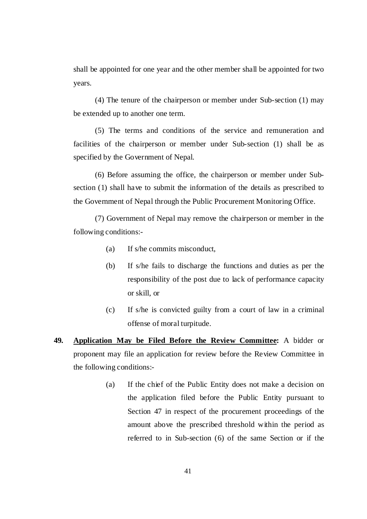shall be appointed for one year and the other member shall be appointed for two years.

(4) The tenure of the chairperson or member under Sub-section (1) may be extended up to another one term.

(5) The terms and conditions of the service and remuneration and facilities of the chairperson or member under Sub-section (1) shall be as specified by the Government of Nepal.

(6) Before assuming the office, the chairperson or member under Subsection (1) shall have to submit the information of the details as prescribed to the Government of Nepal through the Public Procurement Monitoring Office.

(7) Government of Nepal may remove the chairperson or member in the following conditions:-

- (a) If s/he commits misconduct,
- (b) If s/he fails to discharge the functions and duties as per the responsibility of the post due to lack of performance capacity or skill, or
- (c) If s/he is convicted guilty from a court of law in a criminal offense of moral turpitude.
- **49. Application May be Filed Before the Review Committee:** A bidder or proponent may file an application for review before the Review Committee in the following conditions:-
	- (a) If the chief of the Public Entity does not make a decision on the application filed before the Public Entity pursuant to Section 47 in respect of the procurement proceedings of the amount above the prescribed threshold within the period as referred to in Sub-section (6) of the same Section or if the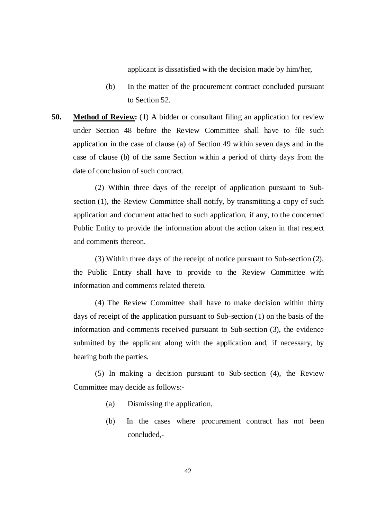applicant is dissatisfied with the decision made by him/her,

- (b) In the matter of the procurement contract concluded pursuant to Section 52.
- **50.** Method of Review: (1) A bidder or consultant filing an application for review under Section 48 before the Review Committee shall have to file such application in the case of clause (a) of Section 49 within seven days and in the case of clause (b) of the same Section within a period of thirty days from the date of conclusion of such contract.

(2) Within three days of the receipt of application pursuant to Subsection (1), the Review Committee shall notify, by transmitting a copy of such application and document attached to such application, if any, to the concerned Public Entity to provide the information about the action taken in that respect and comments thereon.

(3) Within three days of the receipt of notice pursuant to Sub-section (2), the Public Entity shall have to provide to the Review Committee with information and comments related thereto.

(4) The Review Committee shall have to make decision within thirty days of receipt of the application pursuant to Sub-section (1) on the basis of the information and comments received pursuant to Sub-section (3), the evidence submitted by the applicant along with the application and, if necessary, by hearing both the parties.

(5) In making a decision pursuant to Sub-section (4), the Review Committee may decide as follows:-

- (a) Dismissing the application,
- (b) In the cases where procurement contract has not been concluded,-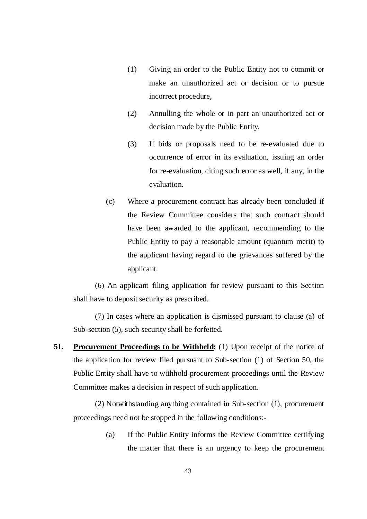- (1) Giving an order to the Public Entity not to commit or make an unauthorized act or decision or to pursue incorrect procedure,
- (2) Annulling the whole or in part an unauthorized act or decision made by the Public Entity,
- (3) If bids or proposals need to be re-evaluated due to occurrence of error in its evaluation, issuing an order for re-evaluation, citing such error as well, if any, in the evaluation.
- (c) Where a procurement contract has already been concluded if the Review Committee considers that such contract should have been awarded to the applicant, recommending to the Public Entity to pay a reasonable amount (quantum merit) to the applicant having regard to the grievances suffered by the applicant.

(6) An applicant filing application for review pursuant to this Section shall have to deposit security as prescribed.

(7) In cases where an application is dismissed pursuant to clause (a) of Sub-section (5), such security shall be forfeited.

**51.** Procurement Proceedings to be Withheld: (1) Upon receipt of the notice of the application for review filed pursuant to Sub-section (1) of Section 50, the Public Entity shall have to withhold procurement proceedings until the Review Committee makes a decision in respect of such application.

(2) Notwithstanding anything contained in Sub-section (1), procurement proceedings need not be stopped in the following conditions:-

> (a) If the Public Entity informs the Review Committee certifying the matter that there is an urgency to keep the procurement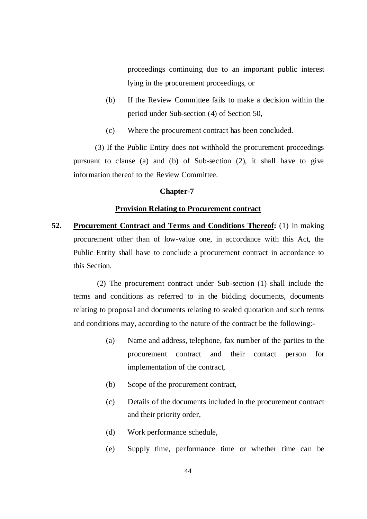proceedings continuing due to an important public interest lying in the procurement proceedings, or

- (b) If the Review Committee fails to make a decision within the period under Sub-section (4) of Section 50,
- (c) Where the procurement contract has been concluded.

(3) If the Public Entity does not withhold the procurement proceedings pursuant to clause (a) and (b) of Sub-section (2), it shall have to give information thereof to the Review Committee.

#### **Chapter-7**

## **Provision Relating to Procurement contract**

**52. Procurement Contract and Terms and Conditions Thereof:** (1) In making procurement other than of low-value one, in accordance with this Act, the Public Entity shall have to conclude a procurement contract in accordance to this Section.

 (2) The procurement contract under Sub-section (1) shall include the terms and conditions as referred to in the bidding documents, documents relating to proposal and documents relating to sealed quotation and such terms and conditions may, according to the nature of the contract be the following:-

- (a) Name and address, telephone, fax number of the parties to the procurement contract and their contact person for implementation of the contract,
- (b) Scope of the procurement contract,
- (c) Details of the documents included in the procurement contract and their priority order,
- (d) Work performance schedule,
- (e) Supply time, performance time or whether time can be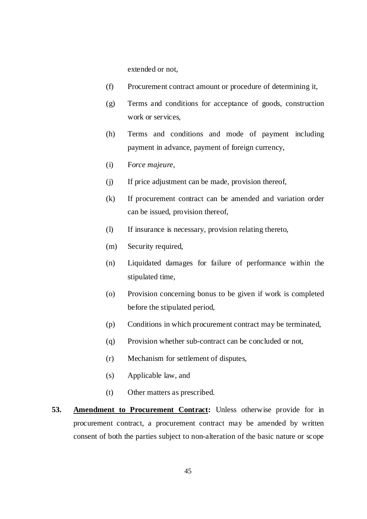extended or not,

- (f) Procurement contract amount or procedure of determining it,
- (g) Terms and conditions for acceptance of goods, construction work or services,
- (h) Terms and conditions and mode of payment including payment in advance, payment of foreign currency,
- (i) F*orce majeure,*
- (j) If price adjustment can be made, provision thereof,
- (k) If procurement contract can be amended and variation order can be issued, provision thereof,
- (l) If insurance is necessary, provision relating thereto,
- (m) Security required,
- (n) Liquidated damages for failure of performance within the stipulated time,
- (o) Provision concerning bonus to be given if work is completed before the stipulated period,
- (p) Conditions in which procurement contract may be terminated,
- (q) Provision whether sub-contract can be concluded or not,
- (r) Mechanism for settlement of disputes,
- (s) Applicable law, and
- (t) Other matters as prescribed.
- **53. Amendment to Procurement Contract:** Unless otherwise provide for in procurement contract, a procurement contract may be amended by written consent of both the parties subject to non-alteration of the basic nature or scope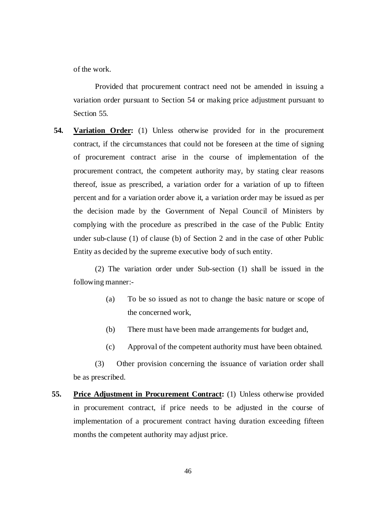of the work.

Provided that procurement contract need not be amended in issuing a variation order pursuant to Section 54 or making price adjustment pursuant to Section 55.

**54. Variation Order:** (1) Unless otherwise provided for in the procurement contract, if the circumstances that could not be foreseen at the time of signing of procurement contract arise in the course of implementation of the procurement contract, the competent authority may, by stating clear reasons thereof, issue as prescribed, a variation order for a variation of up to fifteen percent and for a variation order above it, a variation order may be issued as per the decision made by the Government of Nepal Council of Ministers by complying with the procedure as prescribed in the case of the Public Entity under sub-clause (1) of clause (b) of Section 2 and in the case of other Public Entity as decided by the supreme executive body of such entity.

(2) The variation order under Sub-section (1) shall be issued in the following manner:-

- (a) To be so issued as not to change the basic nature or scope of the concerned work,
- (b) There must have been made arrangements for budget and,
- (c) Approval of the competent authority must have been obtained.

(3) Other provision concerning the issuance of variation order shall be as prescribed.

**55. Price Adjustment in Procurement Contract:** (1) Unless otherwise provided in procurement contract, if price needs to be adjusted in the course of implementation of a procurement contract having duration exceeding fifteen months the competent authority may adjust price.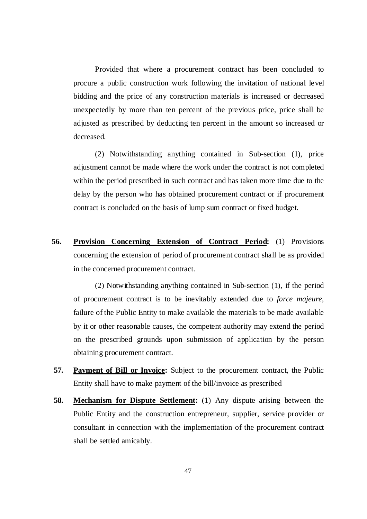Provided that where a procurement contract has been concluded to procure a public construction work following the invitation of national level bidding and the price of any construction materials is increased or decreased unexpectedly by more than ten percent of the previous price, price shall be adjusted as prescribed by deducting ten percent in the amount so increased or decreased.

(2) Notwithstanding anything contained in Sub-section (1), price adjustment cannot be made where the work under the contract is not completed within the period prescribed in such contract and has taken more time due to the delay by the person who has obtained procurement contract or if procurement contract is concluded on the basis of lump sum contract or fixed budget.

**56. Provision Concerning Extension of Contract Period:** (1) Provisions concerning the extension of period of procurement contract shall be as provided in the concerned procurement contract.

(2) Notwithstanding anything contained in Sub-section (1), if the period of procurement contract is to be inevitably extended due to *force majeure*, failure of the Public Entity to make available the materials to be made available by it or other reasonable causes, the competent authority may extend the period on the prescribed grounds upon submission of application by the person obtaining procurement contract.

- **57. Payment of Bill or Invoice:** Subject to the procurement contract, the Public Entity shall have to make payment of the bill/invoice as prescribed
- **58. Mechanism for Dispute Settlement:** (1) Any dispute arising between the Public Entity and the construction entrepreneur, supplier, service provider or consultant in connection with the implementation of the procurement contract shall be settled amicably.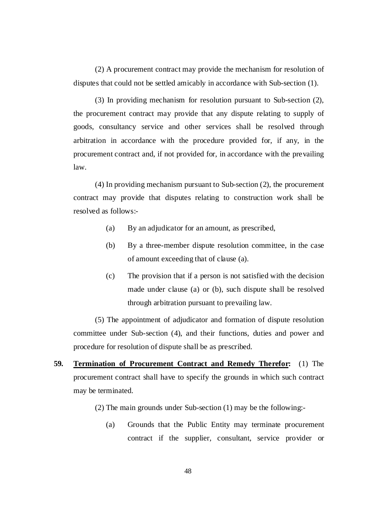(2) A procurement contract may provide the mechanism for resolution of disputes that could not be settled amicably in accordance with Sub-section (1).

(3) In providing mechanism for resolution pursuant to Sub-section (2), the procurement contract may provide that any dispute relating to supply of goods, consultancy service and other services shall be resolved through arbitration in accordance with the procedure provided for, if any, in the procurement contract and, if not provided for, in accordance with the prevailing law.

(4) In providing mechanism pursuant to Sub-section (2), the procurement contract may provide that disputes relating to construction work shall be resolved as follows:-

- (a) By an adjudicator for an amount, as prescribed,
- (b) By a three-member dispute resolution committee, in the case of amount exceeding that of clause (a).
- (c) The provision that if a person is not satisfied with the decision made under clause (a) or (b), such dispute shall be resolved through arbitration pursuant to prevailing law.

(5) The appointment of adjudicator and formation of dispute resolution committee under Sub-section (4), and their functions, duties and power and procedure for resolution of dispute shall be as prescribed.

- **59. Termination of Procurement Contract and Remedy Therefor:** (1) The procurement contract shall have to specify the grounds in which such contract may be terminated.
	- (2) The main grounds under Sub-section (1) may be the following:-
		- (a) Grounds that the Public Entity may terminate procurement contract if the supplier, consultant, service provider or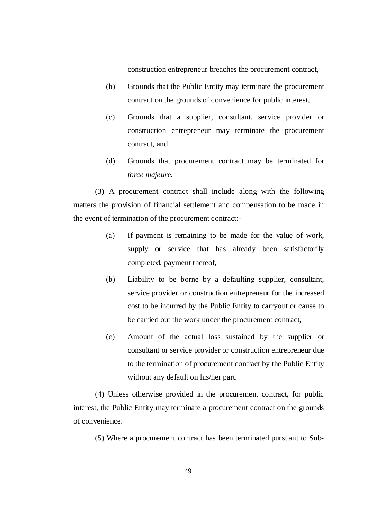construction entrepreneur breaches the procurement contract,

- (b) Grounds that the Public Entity may terminate the procurement contract on the grounds of convenience for public interest,
- (c) Grounds that a supplier, consultant, service provider or construction entrepreneur may terminate the procurement contract, and
- (d) Grounds that procurement contract may be terminated for *force majeure.*

(3) A procurement contract shall include along with the following matters the provision of financial settlement and compensation to be made in the event of termination of the procurement contract:-

- (a) If payment is remaining to be made for the value of work, supply or service that has already been satisfactorily completed, payment thereof,
- (b) Liability to be borne by a defaulting supplier, consultant, service provider or construction entrepreneur for the increased cost to be incurred by the Public Entity to carryout or cause to be carried out the work under the procurement contract,
- (c) Amount of the actual loss sustained by the supplier or consultant or service provider or construction entrepreneur due to the termination of procurement contract by the Public Entity without any default on his/her part.

(4) Unless otherwise provided in the procurement contract, for public interest, the Public Entity may terminate a procurement contract on the grounds of convenience.

(5) Where a procurement contract has been terminated pursuant to Sub-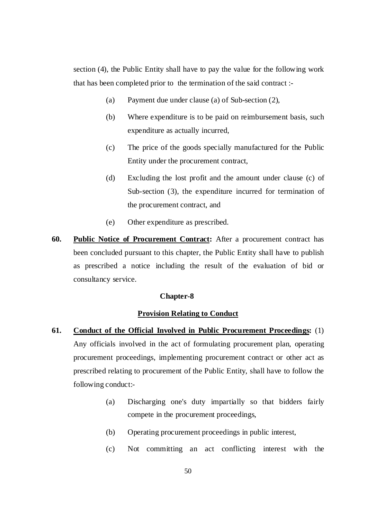section (4), the Public Entity shall have to pay the value for the following work that has been completed prior to the termination of the said contract :-

- (a) Payment due under clause (a) of Sub-section (2),
- (b) Where expenditure is to be paid on reimbursement basis, such expenditure as actually incurred,
- (c) The price of the goods specially manufactured for the Public Entity under the procurement contract,
- (d) Excluding the lost profit and the amount under clause (c) of Sub-section (3), the expenditure incurred for termination of the procurement contract, and
- (e) Other expenditure as prescribed.
- **60. Public Notice of Procurement Contract:** After a procurement contract has been concluded pursuant to this chapter, the Public Entity shall have to publish as prescribed a notice including the result of the evaluation of bid or consultancy service.

# **Chapter-8**

# **Provision Relating to Conduct**

- **61. Conduct of the Official Involved in Public Procurement Proceedings:** (1) Any officials involved in the act of formulating procurement plan, operating procurement proceedings, implementing procurement contract or other act as prescribed relating to procurement of the Public Entity, shall have to follow the following conduct:-
	- (a) Discharging one's duty impartially so that bidders fairly compete in the procurement proceedings,
	- (b) Operating procurement proceedings in public interest,
	- (c) Not committing an act conflicting interest with the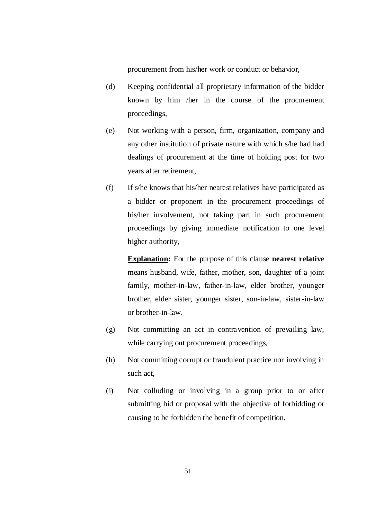procurement from his/her work or conduct or behavior,

- (d) Keeping confidential all proprietary information of the bidder known by him /her in the course of the procurement proceedings,
- (e) Not working with a person, firm, organization, company and any other institution of private nature with which s/he had had dealings of procurement at the time of holding post for two years after retirement,
- (f) If s/he knows that his/her nearest relatives have participated as a bidder or proponent in the procurement proceedings of his/her involvement, not taking part in such procurement proceedings by giving immediate notification to one level higher authority,

**Explanation:** For the purpose of this clause **nearest relative** means husband, wife, father, mother, son, daughter of a joint family, mother-in-law, father-in-law, elder brother, younger brother, elder sister, younger sister, son-in-law, sister-in-law or brother-in-law.

- (g) Not committing an act in contravention of prevailing law, while carrying out procurement proceedings,
- (h) Not committing corrupt or fraudulent practice nor involving in such act,
- (i) Not colluding or involving in a group prior to or after submitting bid or proposal with the objective of forbidding or causing to be forbidden the benefit of competition.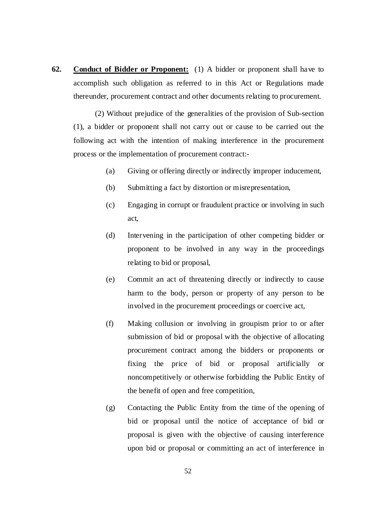**62. Conduct of Bidder or Proponent:** (1) A bidder or proponent shall have to accomplish such obligation as referred to in this Act or Regulations made thereunder, procurement contract and other documents relating to procurement.

(2) Without prejudice of the generalities of the provision of Sub-section (1), a bidder or proponent shall not carry out or cause to be carried out the following act with the intention of making interference in the procurement process or the implementation of procurement contract:-

- (a) Giving or offering directly or indirectly improper inducement,
- (b) Submitting a fact by distortion or misrepresentation,
- (c) Engaging in corrupt or fraudulent practice or involving in such act,
- (d) Intervening in the participation of other competing bidder or proponent to be involved in any way in the proceedings relating to bid or proposal,
- (e) Commit an act of threatening directly or indirectly to cause harm to the body, person or property of any person to be involved in the procurement proceedings or coercive act,
- (f) Making collusion or involving in groupism prior to or after submission of bid or proposal with the objective of allocating procurement contract among the bidders or proponents or fixing the price of bid or proposal artificially or noncompetitively or otherwise forbidding the Public Entity of the benefit of open and free competition,
- (g) Contacting the Public Entity from the time of the opening of bid or proposal until the notice of acceptance of bid or proposal is given with the objective of causing interference upon bid or proposal or committing an act of interference in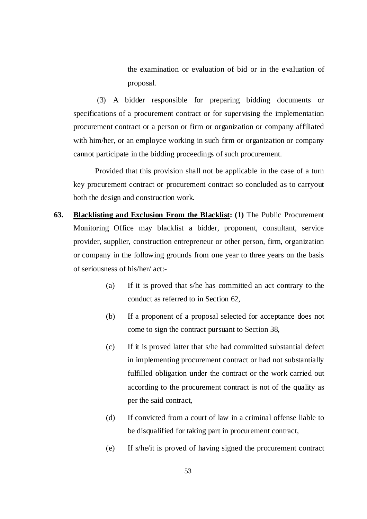the examination or evaluation of bid or in the evaluation of proposal.

 (3) A bidder responsible for preparing bidding documents or specifications of a procurement contract or for supervising the implementation procurement contract or a person or firm or organization or company affiliated with him/her, or an employee working in such firm or organization or company cannot participate in the bidding proceedings of such procurement.

Provided that this provision shall not be applicable in the case of a turn key procurement contract or procurement contract so concluded as to carryout both the design and construction work.

- **63. Blacklisting and Exclusion From the Blacklist: (1)** The Public Procurement Monitoring Office may blacklist a bidder, proponent, consultant, service provider, supplier, construction entrepreneur or other person, firm, organization or company in the following grounds from one year to three years on the basis of seriousness of his/her/ act:-
	- (a) If it is proved that s/he has committed an act contrary to the conduct as referred to in Section 62,
	- (b) If a proponent of a proposal selected for acceptance does not come to sign the contract pursuant to Section 38,
	- (c) If it is proved latter that s/he had committed substantial defect in implementing procurement contract or had not substantially fulfilled obligation under the contract or the work carried out according to the procurement contract is not of the quality as per the said contract,
	- (d) If convicted from a court of law in a criminal offense liable to be disqualified for taking part in procurement contract,
	- (e) If s/he/it is proved of having signed the procurement contract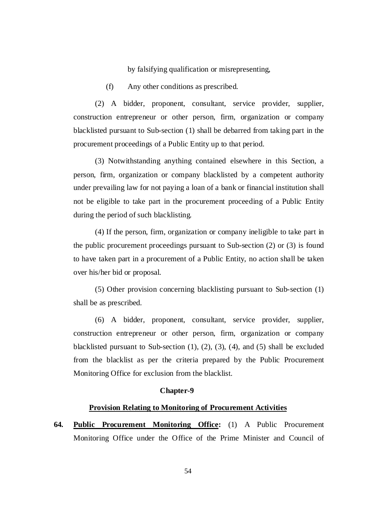by falsifying qualification or misrepresenting,

(f) Any other conditions as prescribed.

(2) A bidder, proponent, consultant, service provider, supplier, construction entrepreneur or other person, firm, organization or company blacklisted pursuant to Sub-section (1) shall be debarred from taking part in the procurement proceedings of a Public Entity up to that period.

(3) Notwithstanding anything contained elsewhere in this Section, a person, firm, organization or company blacklisted by a competent authority under prevailing law for not paying a loan of a bank or financial institution shall not be eligible to take part in the procurement proceeding of a Public Entity during the period of such blacklisting.

(4) If the person, firm, organization or company ineligible to take part in the public procurement proceedings pursuant to Sub-section (2) or (3) is found to have taken part in a procurement of a Public Entity, no action shall be taken over his/her bid or proposal.

(5) Other provision concerning blacklisting pursuant to Sub-section (1) shall be as prescribed.

(6) A bidder, proponent, consultant, service provider, supplier, construction entrepreneur or other person, firm, organization or company blacklisted pursuant to Sub-section  $(1)$ ,  $(2)$ ,  $(3)$ ,  $(4)$ , and  $(5)$  shall be excluded from the blacklist as per the criteria prepared by the Public Procurement Monitoring Office for exclusion from the blacklist.

#### **Chapter-9**

#### **Provision Relating to Monitoring of Procurement Activities**

**64. Public Procurement Monitoring Office:** (1) A Public Procurement Monitoring Office under the Office of the Prime Minister and Council of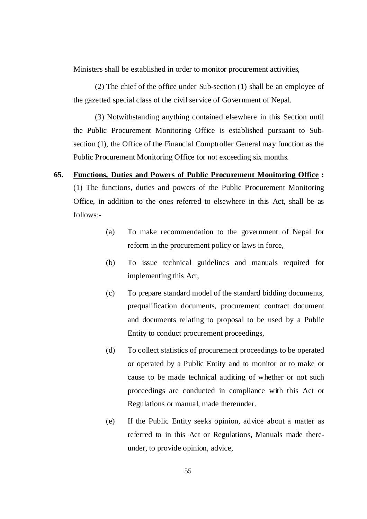Ministers shall be established in order to monitor procurement activities,

(2) The chief of the office under Sub-section (1) shall be an employee of the gazetted special class of the civil service of Government of Nepal.

(3) Notwithstanding anything contained elsewhere in this Section until the Public Procurement Monitoring Office is established pursuant to Subsection (1), the Office of the Financial Comptroller General may function as the Public Procurement Monitoring Office for not exceeding six months.

- **65. Functions, Duties and Powers of Public Procurement Monitoring Office :**  (1) The functions, duties and powers of the Public Procurement Monitoring Office, in addition to the ones referred to elsewhere in this Act, shall be as follows:-
	- (a) To make recommendation to the government of Nepal for reform in the procurement policy or laws in force,
	- (b) To issue technical guidelines and manuals required for implementing this Act,
	- (c) To prepare standard model of the standard bidding documents, prequalification documents, procurement contract document and documents relating to proposal to be used by a Public Entity to conduct procurement proceedings,
	- (d) To collect statistics of procurement proceedings to be operated or operated by a Public Entity and to monitor or to make or cause to be made technical auditing of whether or not such proceedings are conducted in compliance with this Act or Regulations or manual, made thereunder.
	- (e) If the Public Entity seeks opinion, advice about a matter as referred to in this Act or Regulations, Manuals made thereunder, to provide opinion, advice,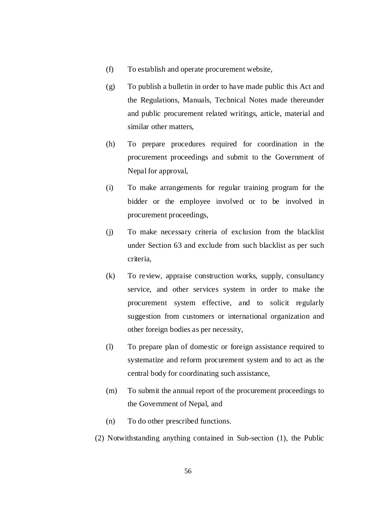- (f) To establish and operate procurement website,
- (g) To publish a bulletin in order to have made public this Act and the Regulations, Manuals, Technical Notes made thereunder and public procurement related writings, article, material and similar other matters,
- (h) To prepare procedures required for coordination in the procurement proceedings and submit to the Government of Nepal for approval,
- (i) To make arrangements for regular training program for the bidder or the employee involved or to be involved in procurement proceedings,
- (j) To make necessary criteria of exclusion from the blacklist under Section 63 and exclude from such blacklist as per such criteria,
- (k) To review, appraise construction works, supply, consultancy service, and other services system in order to make the procurement system effective, and to solicit regularly suggestion from customers or international organization and other foreign bodies as per necessity,
- (l) To prepare plan of domestic or foreign assistance required to systematize and reform procurement system and to act as the central body for coordinating such assistance,
- (m) To submit the annual report of the procurement proceedings to the Government of Nepal, and
- (n) To do other prescribed functions.
- (2) Notwithstanding anything contained in Sub-section (1), the Public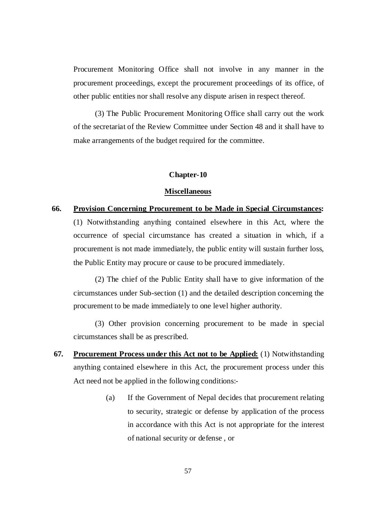Procurement Monitoring Office shall not involve in any manner in the procurement proceedings, except the procurement proceedings of its office, of other public entities nor shall resolve any dispute arisen in respect thereof.

(3) The Public Procurement Monitoring Office shall carry out the work of the secretariat of the Review Committee under Section 48 and it shall have to make arrangements of the budget required for the committee.

# **Chapter-10**

#### **Miscellaneous**

# **66. Provision Concerning Procurement to be Made in Special Circumstances:**

(1) Notwithstanding anything contained elsewhere in this Act, where the occurrence of special circumstance has created a situation in which, if a procurement is not made immediately, the public entity will sustain further loss, the Public Entity may procure or cause to be procured immediately.

(2) The chief of the Public Entity shall have to give information of the circumstances under Sub-section (1) and the detailed description concerning the procurement to be made immediately to one level higher authority.

(3) Other provision concerning procurement to be made in special circumstances shall be as prescribed.

- **67. Procurement Process under this Act not to be Applied:** (1) Notwithstanding anything contained elsewhere in this Act, the procurement process under this Act need not be applied in the following conditions:-
	- (a) If the Government of Nepal decides that procurement relating to security, strategic or defense by application of the process in accordance with this Act is not appropriate for the interest of national security or defense , or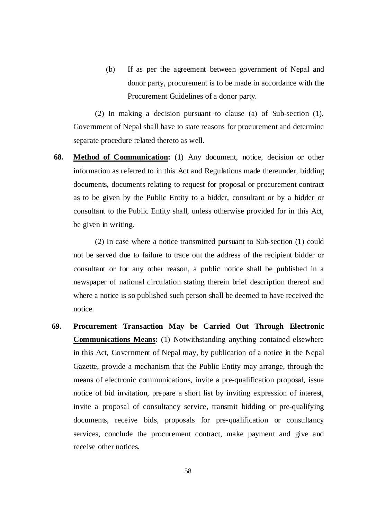(b) If as per the agreement between government of Nepal and donor party, procurement is to be made in accordance with the Procurement Guidelines of a donor party.

(2) In making a decision pursuant to clause (a) of Sub-section (1), Government of Nepal shall have to state reasons for procurement and determine separate procedure related thereto as well.

**68. Method of Communication:** (1) Any document, notice, decision or other information as referred to in this Act and Regulations made thereunder, bidding documents, documents relating to request for proposal or procurement contract as to be given by the Public Entity to a bidder, consultant or by a bidder or consultant to the Public Entity shall, unless otherwise provided for in this Act, be given in writing.

(2) In case where a notice transmitted pursuant to Sub-section (1) could not be served due to failure to trace out the address of the recipient bidder or consultant or for any other reason, a public notice shall be published in a newspaper of national circulation stating therein brief description thereof and where a notice is so published such person shall be deemed to have received the notice.

**69. Procurement Transaction May be Carried Out Through Electronic Communications Means:** (1) Notwithstanding anything contained elsewhere in this Act, Government of Nepal may, by publication of a notice in the Nepal Gazette, provide a mechanism that the Public Entity may arrange, through the means of electronic communications, invite a pre-qualification proposal, issue notice of bid invitation, prepare a short list by inviting expression of interest, invite a proposal of consultancy service, transmit bidding or pre-qualifying documents, receive bids, proposals for pre-qualification or consultancy services, conclude the procurement contract, make payment and give and receive other notices.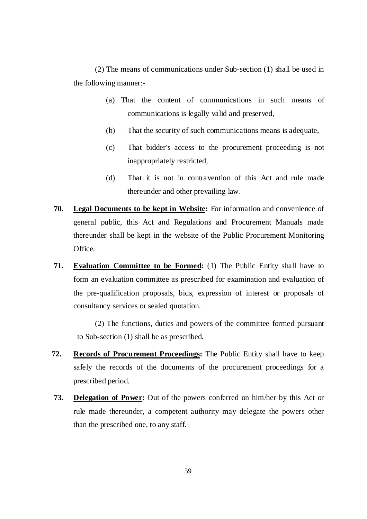(2) The means of communications under Sub-section (1) shall be used in the following manner:-

- (a) That the content of communications in such means of communications is legally valid and preserved,
- (b) That the security of such communications means is adequate,
- (c) That bidder's access to the procurement proceeding is not inappropriately restricted,
- (d) That it is not in contravention of this Act and rule made thereunder and other prevailing law.
- **70. Legal Documents to be kept in Website:** For information and convenience of general public, this Act and Regulations and Procurement Manuals made thereunder shall be kept in the website of the Public Procurement Monitoring Office.
- **71. Evaluation Committee to be Formed:** (1) The Public Entity shall have to form an evaluation committee as prescribed for examination and evaluation of the pre-qualification proposals, bids, expression of interest or proposals of consultancy services or sealed quotation.

(2) The functions, duties and powers of the committee formed pursuant to Sub-section (1) shall be as prescribed.

- **72. Records of Procurement Proceedings:** The Public Entity shall have to keep safely the records of the documents of the procurement proceedings for a prescribed period.
- **73. Delegation of Power:** Out of the powers conferred on him/her by this Act or rule made thereunder, a competent authority may delegate the powers other than the prescribed one, to any staff.